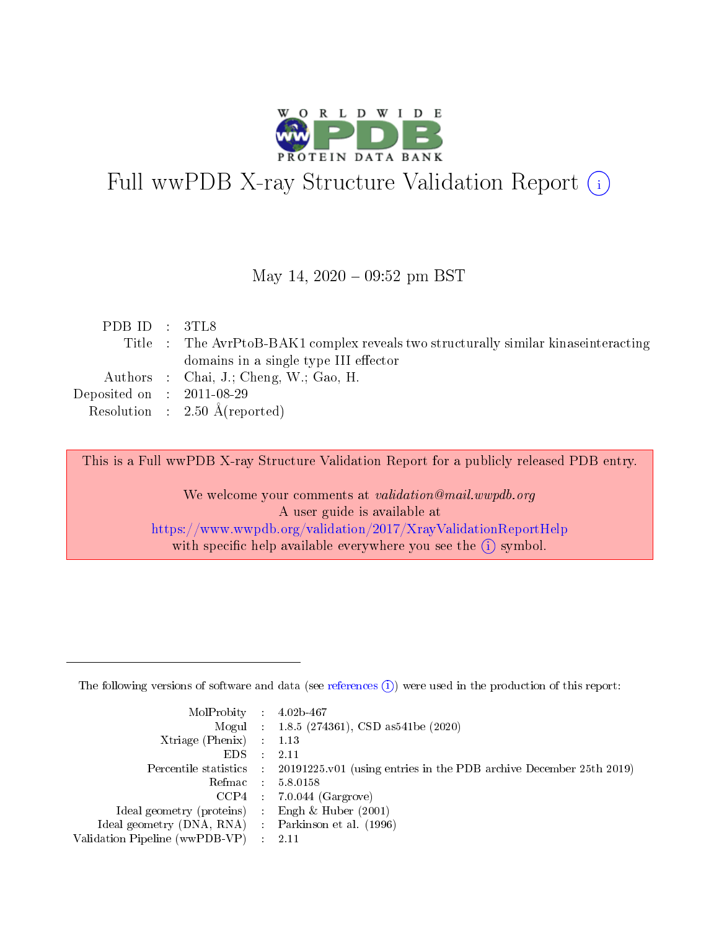

# Full wwPDB X-ray Structure Validation Report (i)

#### May 14,  $2020 - 09:52$  pm BST

| PDB ID : $3TL8$                      |                                                                                      |
|--------------------------------------|--------------------------------------------------------------------------------------|
|                                      | Title : The AvrPtoB-BAK1 complex reveals two structurally similar kinase interacting |
|                                      | domains in a single type III effector                                                |
|                                      | Authors : Chai, J.; Cheng, W.; Gao, H.                                               |
| Deposited on $\therefore$ 2011-08-29 |                                                                                      |
|                                      | Resolution : $2.50 \text{ Å}$ (reported)                                             |

This is a Full wwPDB X-ray Structure Validation Report for a publicly released PDB entry.

We welcome your comments at validation@mail.wwpdb.org A user guide is available at <https://www.wwpdb.org/validation/2017/XrayValidationReportHelp> with specific help available everywhere you see the  $(i)$  symbol.

The following versions of software and data (see [references](https://www.wwpdb.org/validation/2017/XrayValidationReportHelp#references)  $(1)$ ) were used in the production of this report:

| $MolProbability$ : 4.02b-467                      |                              |                                                                                            |
|---------------------------------------------------|------------------------------|--------------------------------------------------------------------------------------------|
|                                                   |                              | Mogul : $1.8.5$ (274361), CSD as 541be (2020)                                              |
| Xtriage (Phenix) $: 1.13$                         |                              |                                                                                            |
| EDS –                                             | $\sim$                       | -2.11                                                                                      |
|                                                   |                              | Percentile statistics : 20191225.v01 (using entries in the PDB archive December 25th 2019) |
| Refmac : 5.8.0158                                 |                              |                                                                                            |
| CCP4                                              |                              | $7.0.044$ (Gargrove)                                                                       |
| Ideal geometry (proteins)                         | $\mathcal{L}_{\mathrm{eff}}$ | Engh & Huber $(2001)$                                                                      |
| Ideal geometry (DNA, RNA) Parkinson et al. (1996) |                              |                                                                                            |
| Validation Pipeline (wwPDB-VP) : 2.11             |                              |                                                                                            |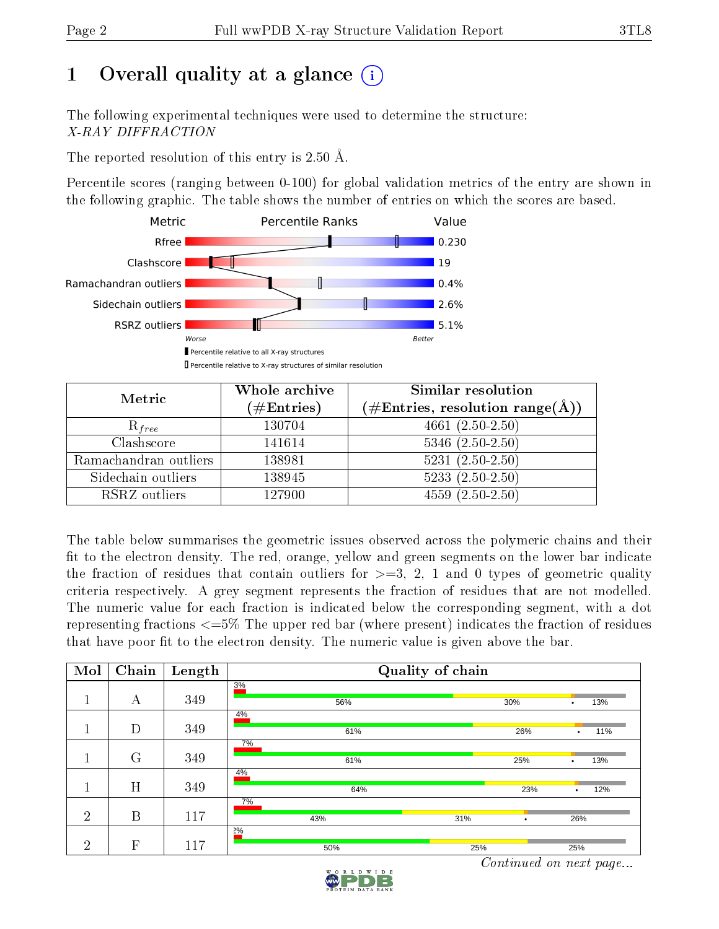## 1 [O](https://www.wwpdb.org/validation/2017/XrayValidationReportHelp#overall_quality)verall quality at a glance  $(i)$

The following experimental techniques were used to determine the structure: X-RAY DIFFRACTION

The reported resolution of this entry is 2.50 Å.

Percentile scores (ranging between 0-100) for global validation metrics of the entry are shown in the following graphic. The table shows the number of entries on which the scores are based.



| Metric                | Whole archive<br>$(\#\text{Entries})$ | Similar resolution<br>$(\#\text{Entries},\,\text{resolution}\,\,\text{range}(\textup{\AA}))$ |
|-----------------------|---------------------------------------|----------------------------------------------------------------------------------------------|
| $R_{free}$            | 130704                                | $4661 (2.50 - 2.50)$                                                                         |
| Clashscore            | 141614                                | $5346$ $(2.50-2.50)$                                                                         |
| Ramachandran outliers | 138981                                | $\overline{5231}$ $(2.50-2.50)$                                                              |
| Sidechain outliers    | 138945                                | $5233(2.50-2.50)$                                                                            |
| RSRZ outliers         | 127900                                | $4559(2.50-2.50)$                                                                            |

The table below summarises the geometric issues observed across the polymeric chains and their fit to the electron density. The red, orange, yellow and green segments on the lower bar indicate the fraction of residues that contain outliers for  $>=3, 2, 1$  and 0 types of geometric quality criteria respectively. A grey segment represents the fraction of residues that are not modelled. The numeric value for each fraction is indicated below the corresponding segment, with a dot representing fractions  $\epsilon=5\%$  The upper red bar (where present) indicates the fraction of residues that have poor fit to the electron density. The numeric value is given above the bar.

| Mol            | Chain   | Length | Quality of chain |     |                  |
|----------------|---------|--------|------------------|-----|------------------|
| -1             | А       | 349    | 3%<br>56%        | 30% | 13%<br>$\bullet$ |
|                | D       | 349    | 4%<br>61%        | 26% | 11%<br>٠         |
|                | $\rm G$ | 349    | 7%<br>61%        | 25% | 13%<br>$\bullet$ |
|                | H       | 349    | 4%<br>64%        | 23% | 12%<br>$\bullet$ |
| $\overline{2}$ | B       | 117    | 7%<br>43%<br>31% |     | 26%              |
| $\overline{2}$ | F       | 117    | 20/0<br>50%      | 25% | 25%              |

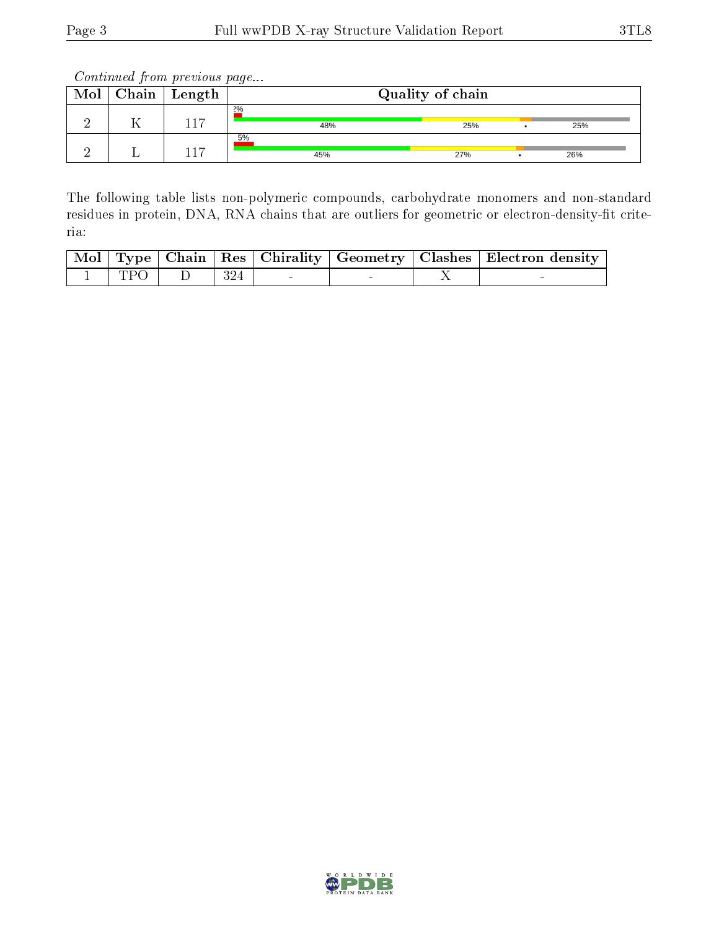| Chain | ' Length |           | Quality of chain |     |  |
|-------|----------|-----------|------------------|-----|--|
|       | 17       | 2%<br>48% | 25%              | 25% |  |
|       | $.1 -$   | 5%<br>45% | 27%              | 26% |  |

The following table lists non-polymeric compounds, carbohydrate monomers and non-standard residues in protein, DNA, RNA chains that are outliers for geometric or electron-density-fit criteria:

|            |     |  | Mol   Type   Chain   Res   Chirality   Geometry   Clashes   Electron density |
|------------|-----|--|------------------------------------------------------------------------------|
| <b>TPO</b> | 324 |  |                                                                              |

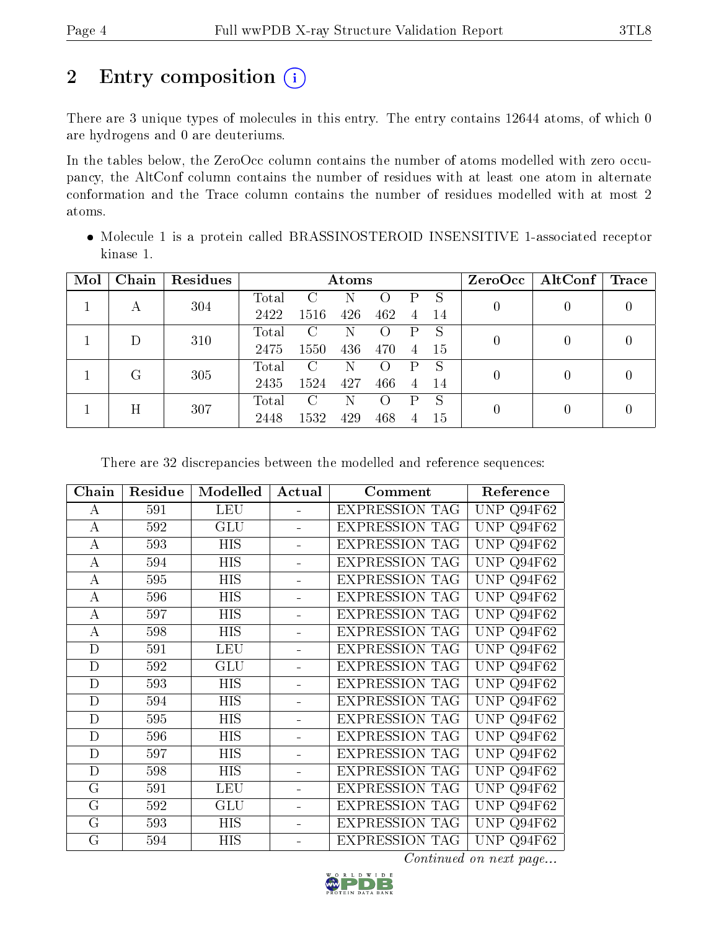## 2 Entry composition (i)

There are 3 unique types of molecules in this entry. The entry contains 12644 atoms, of which 0 are hydrogens and 0 are deuteriums.

In the tables below, the ZeroOcc column contains the number of atoms modelled with zero occupancy, the AltConf column contains the number of residues with at least one atom in alternate conformation and the Trace column contains the number of residues modelled with at most 2 atoms.

 Molecule 1 is a protein called BRASSINOSTEROID INSENSITIVE 1-associated receptor kinase 1.

| Mol | Chain | Residues |       |      | Atoms |                  |   |              | ZeroOcc        | AltConf          | Trace            |
|-----|-------|----------|-------|------|-------|------------------|---|--------------|----------------|------------------|------------------|
|     | А     | 304      | Total | C    | Ν     | $\left( \right)$ | P | S            | $\overline{0}$ | 0                | $\left( \right)$ |
|     |       |          | 2422  | 1516 | 426   | 462              | 4 | -14          |                |                  |                  |
|     | D     | 310      | Total | C    | Ν     | $\left( \right)$ | P | <sub>S</sub> | 0              | $\left( \right)$ |                  |
|     |       |          | 2475  | 1550 | 436   | 470              | 4 | -15          |                |                  |                  |
|     | G     | 305      | Total | C    | Ν     | $\left( \right)$ | P | S            | 0              | 0                |                  |
|     |       |          | 2435  | 1524 | 427   | 466              | 4 | 14           |                |                  |                  |
|     | Η     |          | Total | C    | Ν     | $\left( \right)$ | P | <sup>S</sup> | 0              |                  |                  |
|     |       | 307      | 2448  | 1532 | 429   | 468              | 4 | 15           |                |                  |                  |

There are 32 discrepancies between the modelled and reference sequences:

| Chain          | Residue | Modelled   | Actual | Comment               | Reference            |
|----------------|---------|------------|--------|-----------------------|----------------------|
| А              | 591     | <b>LEU</b> |        | <b>EXPRESSION TAG</b> | UNP Q94F62           |
| А              | 592     | GLU        |        | <b>EXPRESSION TAG</b> | <b>UNP</b><br>Q94F62 |
| A              | 593     | <b>HIS</b> |        | <b>EXPRESSION TAG</b> | UNP Q94F62           |
| A              | 594     | <b>HIS</b> |        | <b>EXPRESSION TAG</b> | UNP Q94F62           |
| А              | 595     | <b>HIS</b> |        | <b>EXPRESSION TAG</b> | UNP Q94F62           |
| А              | 596     | HIS        |        | <b>EXPRESSION TAG</b> | Q94F62<br>UNP        |
| А              | 597     | <b>HIS</b> |        | <b>EXPRESSION TAG</b> | UNP<br>Q94F62        |
| А              | 598     | <b>HIS</b> |        | <b>EXPRESSION TAG</b> | UNP Q94F62           |
| D              | 591     | <b>LEU</b> |        | <b>EXPRESSION TAG</b> | UNP Q94F62           |
| D              | 592     | GLU        |        | <b>EXPRESSION TAG</b> | UNP<br>Q94F62        |
| D              | 593     | HIS        |        | <b>EXPRESSION TAG</b> | <b>UNP</b><br>Q94F62 |
| D              | 594     | <b>HIS</b> |        | <b>EXPRESSION TAG</b> | <b>UNP</b><br>Q94F62 |
| D              | 595     | <b>HIS</b> |        | <b>EXPRESSION TAG</b> | <b>UNP</b><br>Q94F62 |
| D              | 596     | <b>HIS</b> |        | <b>EXPRESSION TAG</b> | <b>UNP</b><br>Q94F62 |
| D              | 597     | <b>HIS</b> |        | <b>EXPRESSION TAG</b> | <b>UNP</b><br>Q94F62 |
| D              | 598     | <b>HIS</b> |        | <b>EXPRESSION TAG</b> | <b>UNP</b><br>Q94F62 |
| G              | 591     | <b>LEU</b> |        | <b>EXPRESSION TAG</b> | <b>UNP</b><br>Q94F62 |
| $\overline{G}$ | 592     | GLU        |        | <b>EXPRESSION TAG</b> | UNP Q94F62           |
| $\mathbf G$    | 593     | <b>HIS</b> |        | <b>EXPRESSION TAG</b> | <b>UNP</b><br>Q94F62 |
| G              | 594     | <b>HIS</b> |        | <b>EXPRESSION TAG</b> | UNP $Q94F62$         |

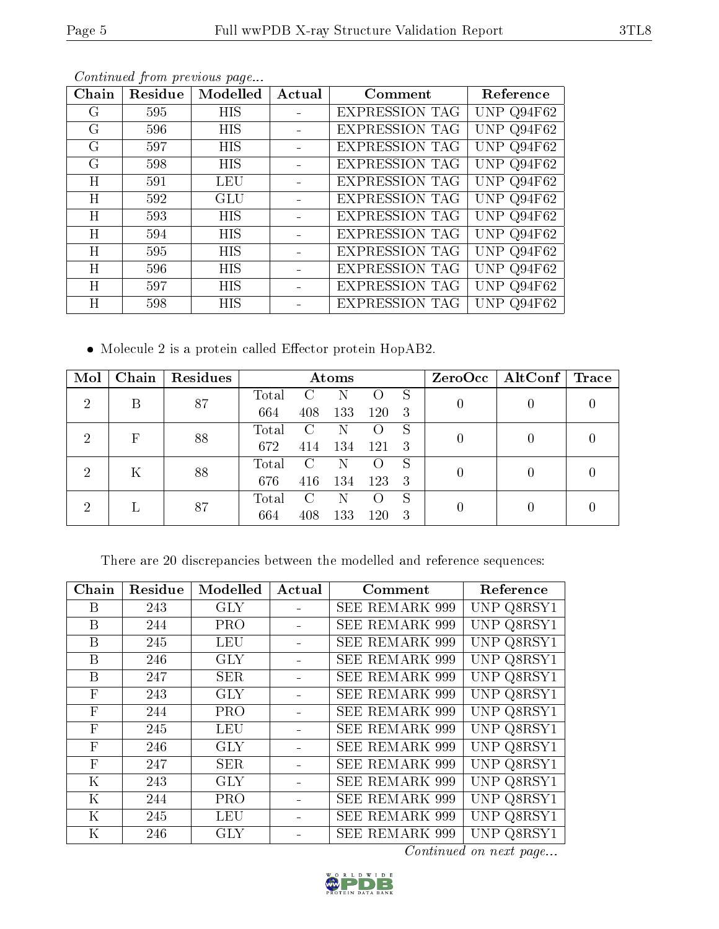| Chain | Residue | Modelled   | Actual | Comment               | Reference      |
|-------|---------|------------|--------|-----------------------|----------------|
| G     | 595     | HIS        |        | <b>EXPRESSION TAG</b> | UNP Q94F62     |
| G     | 596     | <b>HIS</b> |        | <b>EXPRESSION TAG</b> | UNP $Q94F62$   |
| G     | 597     | <b>HIS</b> |        | <b>EXPRESSION TAG</b> | UNP $Q94F62$   |
| G     | 598     | HIS        |        | <b>EXPRESSION TAG</b> | UNP $Q94F62$   |
| H     | 591     | LEU        |        | <b>EXPRESSION TAG</b> | UNP $Q94F62$   |
| H     | 592     | GLU        |        | <b>EXPRESSION TAG</b> | UNP Q94F62     |
| Η     | 593     | <b>HIS</b> |        | <b>EXPRESSION TAG</b> | UNP $Q94F62$   |
| H     | 594     | HIS        |        | <b>EXPRESSION TAG</b> | UNP $Q94F62$   |
| Η     | 595     | <b>HIS</b> |        | <b>EXPRESSION TAG</b> | UNP Q94F62     |
| H     | 596     | <b>HIS</b> |        | <b>EXPRESSION TAG</b> | UNP $Q94F62$   |
| Η     | 597     | HIS        |        | <b>EXPRESSION TAG</b> | UNP $Q94F62$   |
| H     | 598     | HIS        |        | <b>EXPRESSION TAG</b> | Q94F62<br>UNP. |

 $\bullet$  Molecule 2 is a protein called Effector protein HopAB2.

| Mol                         | Chain | Residues |       |               | Atoms |                    |    | $ZeroOcc \mid AltConf \mid$ | Trace |
|-----------------------------|-------|----------|-------|---------------|-------|--------------------|----|-----------------------------|-------|
| $\overline{2}$              | Β     | 87       | Total |               |       |                    | S  |                             |       |
|                             |       |          | 664   | 408           | 133   | 120                | 3  |                             |       |
| 2                           | F     | 88       | Total | $\mathcal{C}$ |       |                    | S  |                             |       |
|                             |       |          | 672   | 414           | 134   | 121                | -3 |                             |       |
| 2                           | Κ     | 88       | Total | $\mathcal{C}$ | N     | $\left( \right)$   | S  | 0                           |       |
|                             |       |          | 676   | 416           | 134   | 123                | -3 |                             |       |
| $\mathcal{D}_{\mathcal{A}}$ |       | 87       | Total | C             | N     | $\left( \ \right)$ | S  |                             |       |
|                             |       |          | 664   | 408           | 133   | 120                | 3  |                             |       |

There are 20 discrepancies between the modelled and reference sequences:

| Chain        | Residue | Modelled   | Actual | Comment               | Reference  |
|--------------|---------|------------|--------|-----------------------|------------|
| B            | 243     | <b>GLY</b> |        | <b>SEE REMARK 999</b> | UNP Q8RSY1 |
| B            | 244     | PRO        |        | <b>SEE REMARK 999</b> | UNP Q8RSY1 |
| B            | 245     | LEU        |        | SEE REMARK 999        | UNP Q8RSY1 |
| B            | 246     | <b>GLY</b> |        | <b>SEE REMARK 999</b> | UNP Q8RSY1 |
| B            | 247     | <b>SER</b> |        | <b>SEE REMARK 999</b> | UNP Q8RSY1 |
| $\mathbf{F}$ | 243     | <b>GLY</b> |        | <b>SEE REMARK 999</b> | UNP Q8RSY1 |
| $\mathbf{F}$ | 244     | <b>PRO</b> |        | <b>SEE REMARK 999</b> | UNP Q8RSY1 |
| $\mathbf{F}$ | 245     | LEU        |        | <b>SEE REMARK 999</b> | UNP Q8RSY1 |
| $\mathbf{F}$ | 246     | GLY        |        | SEE REMARK 999        | UNP Q8RSY1 |
| $\mathbf{F}$ | 247     | SER        |        | <b>SEE REMARK 999</b> | UNP Q8RSY1 |
| $\rm K$      | 243     | <b>GLY</b> |        | <b>SEE REMARK 999</b> | UNP Q8RSY1 |
| K            | 244     | <b>PRO</b> |        | <b>SEE REMARK 999</b> | UNP Q8RSY1 |
| K            | 245     | LEU        |        | <b>SEE REMARK 999</b> | UNP Q8RSY1 |
| Κ            | 246     | <b>GLY</b> |        | <b>SEE REMARK 999</b> | UNP Q8RSY1 |

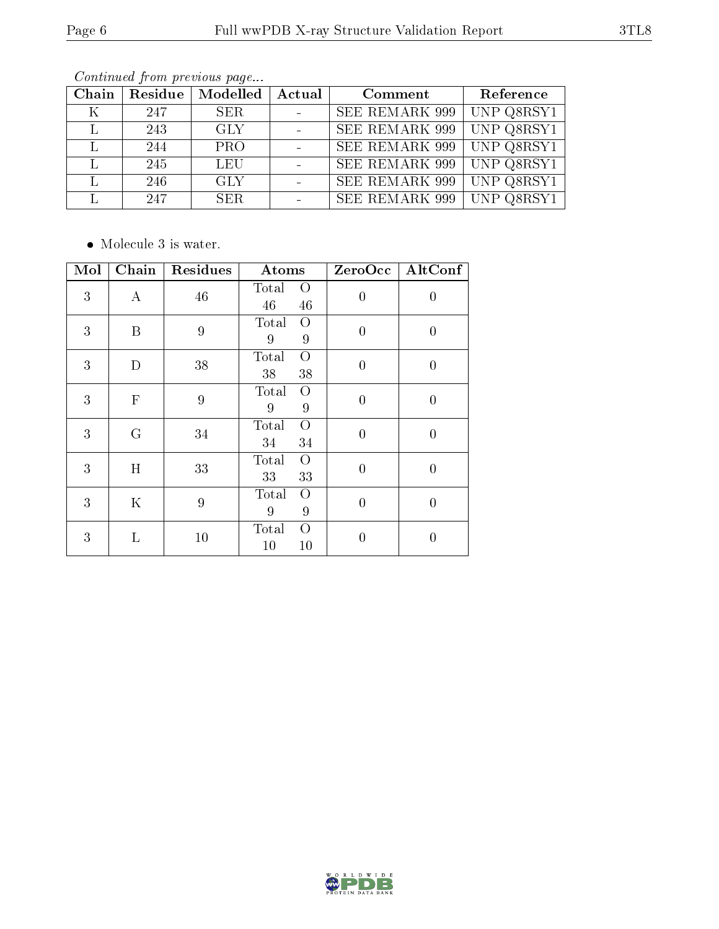|--|--|

| Chain | Residue | Modelled   | Actual | Comment               | Reference  |
|-------|---------|------------|--------|-----------------------|------------|
| Κ     | 247     | SER.       |        | <b>SEE REMARK 999</b> | UNP Q8RSY1 |
|       | 243     | <b>GLY</b> |        | <b>SEE REMARK 999</b> | UNP Q8RSY1 |
|       | 244     | <b>PRO</b> |        | <b>SEE REMARK 999</b> | UNP Q8RSY1 |
|       | 245     | LEU        |        | <b>SEE REMARK 999</b> | UNP Q8RSY1 |
|       | 246     | GLY        |        | <b>SEE REMARK 999</b> | UNP Q8RSY1 |
|       | 247     | SER.       |        | <b>SEE REMARK 999</b> | UNP Q8RSY1 |

 $\bullet\,$  Molecule 3 is water.

| $\overline{\text{Mol}}$ | Chain            | Residues       | Atoms                               | ZeroOcc        | AltConf          |
|-------------------------|------------------|----------------|-------------------------------------|----------------|------------------|
| 3                       | $\boldsymbol{A}$ | 46             | Total<br>$\overline{O}$<br>46<br>46 | $\overline{0}$ | $\boldsymbol{0}$ |
| 3                       | B                | $\overline{9}$ | Total<br>O<br>9<br>9                | $\overline{0}$ | $\overline{0}$   |
| 3                       | D                | 38             | Total<br>$\overline{O}$<br>38<br>38 | $\overline{0}$ | $\boldsymbol{0}$ |
| 3                       | $\mathbf F$      | $\overline{9}$ | Total<br>O<br>$\boldsymbol{9}$<br>9 | $\overline{0}$ | $\boldsymbol{0}$ |
| 3                       | G                | 34             | Total<br>$\overline{O}$<br>34<br>34 | $\overline{0}$ | $\boldsymbol{0}$ |
| 3                       | H                | 33             | Total<br>$\overline{O}$<br>33<br>33 | $\overline{0}$ | $\boldsymbol{0}$ |
| 3                       | K                | 9              | Total<br>О<br>9<br>9                | $\overline{0}$ | $\overline{0}$   |
| 3                       | L                | 10             | $\Omega$<br>Total<br>10<br>10       | $\overline{0}$ | $\overline{0}$   |

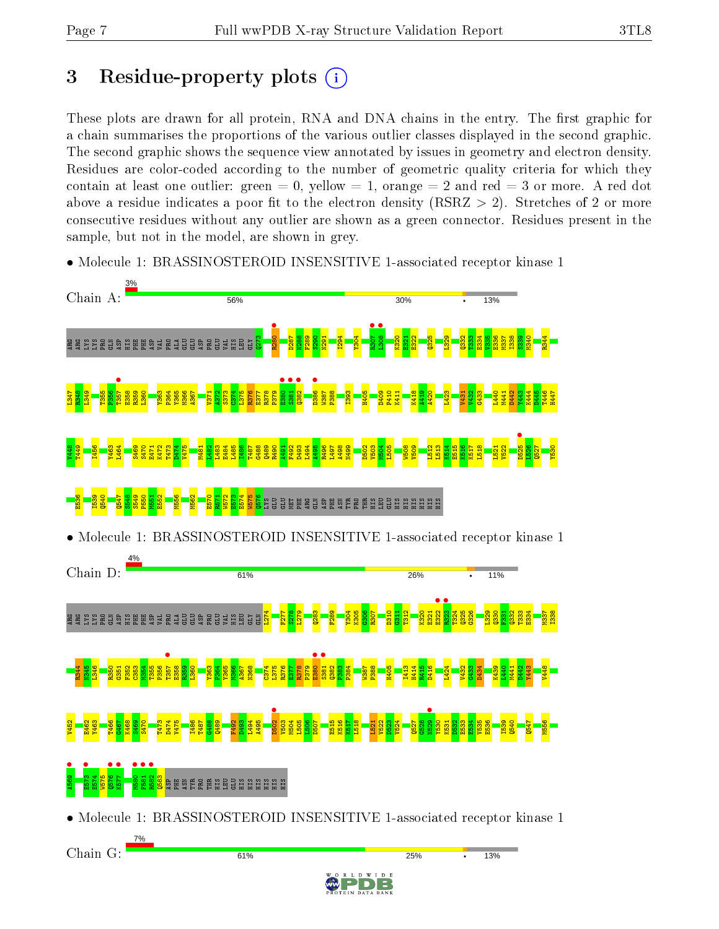# 3 Residue-property plots  $(i)$

These plots are drawn for all protein, RNA and DNA chains in the entry. The first graphic for a chain summarises the proportions of the various outlier classes displayed in the second graphic. The second graphic shows the sequence view annotated by issues in geometry and electron density. Residues are color-coded according to the number of geometric quality criteria for which they contain at least one outlier: green  $= 0$ , yellow  $= 1$ , orange  $= 2$  and red  $= 3$  or more. A red dot above a residue indicates a poor fit to the electron density (RSRZ  $> 2$ ). Stretches of 2 or more consecutive residues without any outlier are shown as a green connector. Residues present in the sample, but not in the model, are shown in grey.



• Molecule 1: BRASSINOSTEROID INSENSITIVE 1-associated receptor kinase 1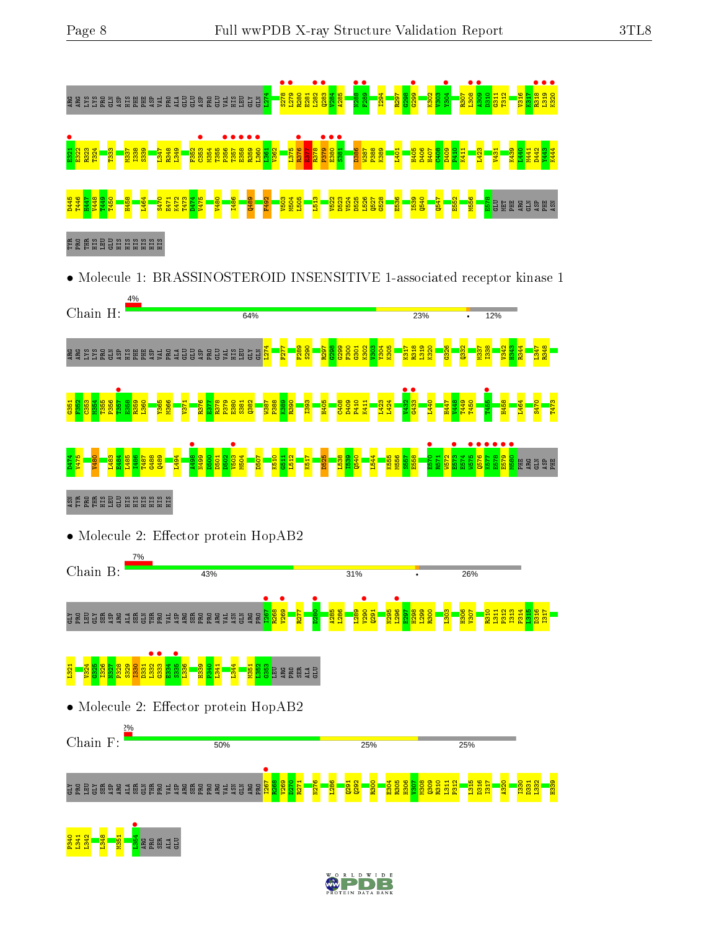

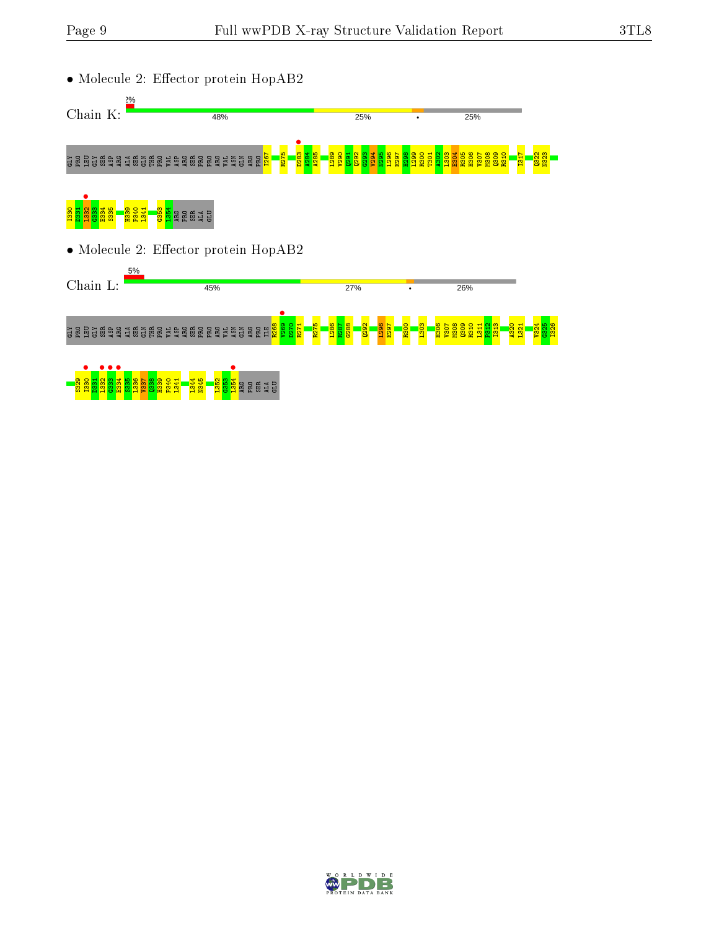

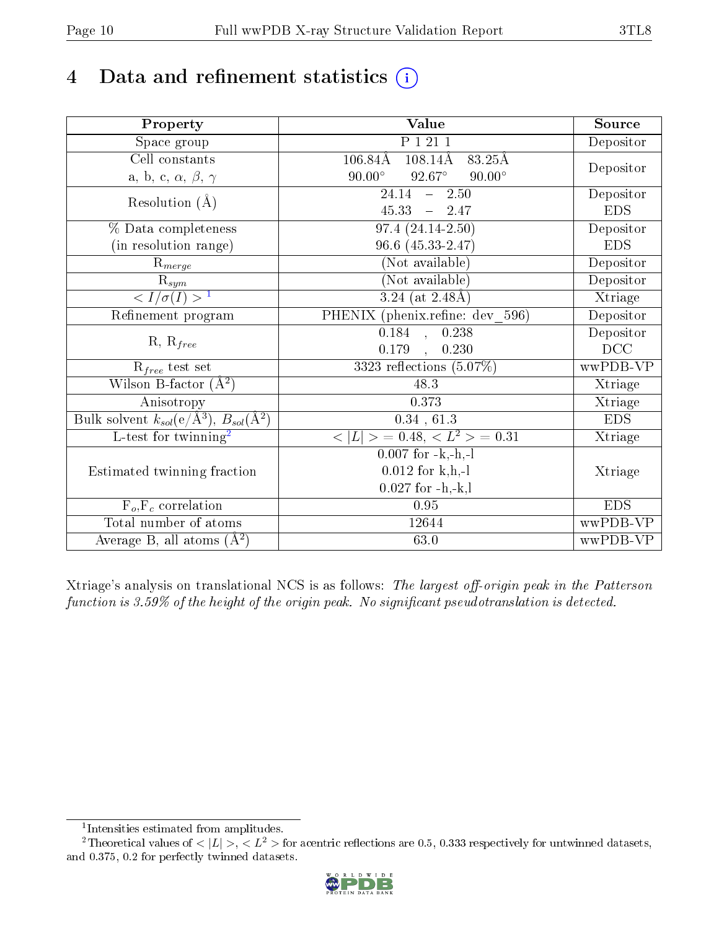## 4 Data and refinement statistics  $(i)$

| Property                                                         | Value                                                         | Source     |
|------------------------------------------------------------------|---------------------------------------------------------------|------------|
| Space group                                                      | P 1 21 1                                                      | Depositor  |
| $\overline{\text{Cell}}$ constants                               | $106.84\text{\AA}$<br>$108.14\text{\AA}$<br>$83.25\text{\AA}$ |            |
| a, b, c, $\alpha$ , $\beta$ , $\gamma$                           | $92.67^\circ$<br>$90.00^\circ$<br>$90.00^\circ$               | Depositor  |
| Resolution $(A)$                                                 | $\overline{24.14}$ - 2.50                                     | Depositor  |
|                                                                  | 45.33<br>$-2.47$                                              | <b>EDS</b> |
| % Data completeness                                              | $97.4(24.14-2.50)$                                            | Depositor  |
| (in resolution range)                                            | 96.6 (45.33-2.47)                                             | <b>EDS</b> |
| $R_{merge}$                                                      | (Not available)                                               | Depositor  |
| $\mathrm{R}_{sym}$                                               | (Not available)                                               | Depositor  |
| $\sqrt{I/\sigma(I)} > 1$                                         | 3.24 (at $2.48\text{\AA}$ )                                   | Xtriage    |
| Refinement program                                               | PHENIX (phenix.refine: dev_596)                               | Depositor  |
| $R, R_{free}$                                                    | $\overline{0.184}$ , $\overline{0.238}$                       | Depositor  |
|                                                                  | 0.179<br>0.230<br>$\sim$ $\sim$                               | DCC        |
| $R_{free}$ test set                                              | 3323 reflections $(5.07\%)$                                   | wwPDB-VP   |
| Wilson B-factor $(A^2)$                                          | 48.3                                                          | Xtriage    |
| Anisotropy                                                       | 0.373                                                         | Xtriage    |
| Bulk solvent $k_{sol}(\text{e}/\text{A}^3), B_{sol}(\text{A}^2)$ | 0.34, 61.3                                                    | <b>EDS</b> |
| L-test for twinning <sup>2</sup>                                 | $< L >$ = 0.48, $< L2 >$ = 0.31                               | Xtriage    |
|                                                                  | $0.007$ for $-k,-h,-l$                                        |            |
| Estimated twinning fraction                                      | $0.012$ for k,h,-l                                            | Xtriage    |
|                                                                  | $0.027$ for $-h,-k,l$                                         |            |
| $F_o, F_c$ correlation                                           | 0.95                                                          | <b>EDS</b> |
| Total number of atoms                                            | 12644                                                         | wwPDB-VP   |
| Average B, all atoms $(A^2)$                                     | 63.0                                                          | wwPDB-VP   |

Xtriage's analysis on translational NCS is as follows: The largest off-origin peak in the Patterson function is  $3.59\%$  of the height of the origin peak. No significant pseudotranslation is detected.

<sup>&</sup>lt;sup>2</sup>Theoretical values of  $\langle |L| \rangle$ ,  $\langle L^2 \rangle$  for acentric reflections are 0.5, 0.333 respectively for untwinned datasets, and 0.375, 0.2 for perfectly twinned datasets.



<span id="page-9-1"></span><span id="page-9-0"></span><sup>1</sup> Intensities estimated from amplitudes.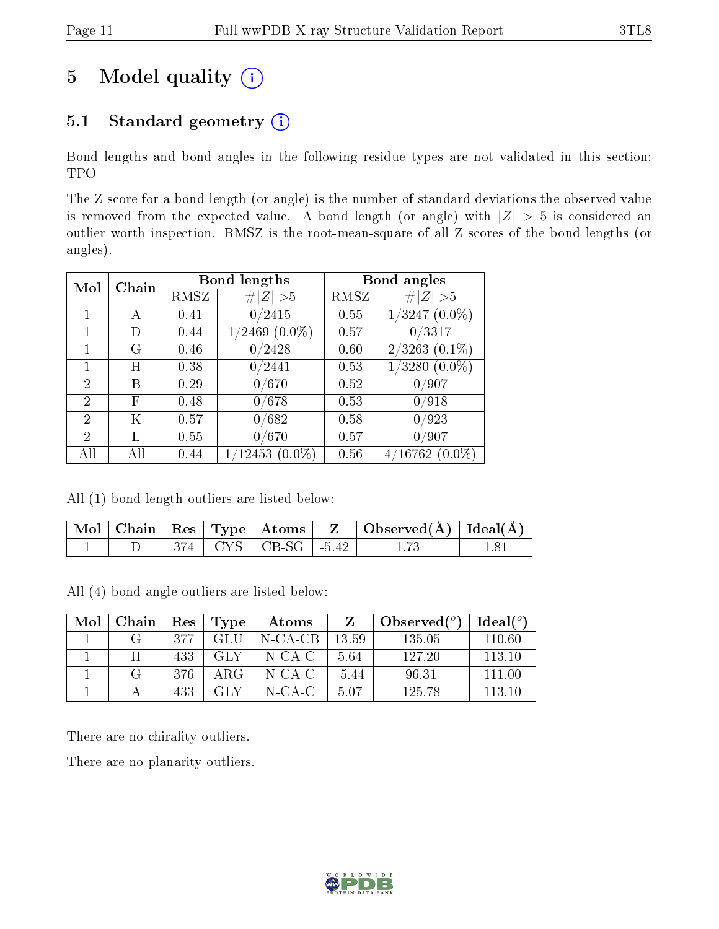## 5 Model quality  $(i)$

### 5.1 Standard geometry  $(i)$

Bond lengths and bond angles in the following residue types are not validated in this section: TPO

The Z score for a bond length (or angle) is the number of standard deviations the observed value is removed from the expected value. A bond length (or angle) with  $|Z| > 5$  is considered an outlier worth inspection. RMSZ is the root-mean-square of all Z scores of the bond lengths (or angles).

| Chain<br>Mol   |     |      | <b>Bond lengths</b> | Bond angles |                         |
|----------------|-----|------|---------------------|-------------|-------------------------|
|                |     | RMSZ | # $ Z  > 5$         | RMSZ        | # $ Z  > 5$             |
|                | А   | 0.41 | 0/2415              | 0.55        | $1/3247$ $(0.0\%)$      |
|                | D   | 0.44 | $1/2469$ $(0.0\%)$  | 0.57        | 0/3317                  |
|                | G   | 0.46 | 0/2428              | 0.60        | $2/3263$ $(0.1\%)$      |
|                | Η   | 0.38 | 0/2441              | 0.53        | $\langle 3280\ (0.0\%)$ |
| $\overline{2}$ | В   | 0.29 | 0/670               | 0.52        | 0/907                   |
| 2              | F   | 0.48 | 0/678               | 0.53        | 0/918                   |
| $\overline{2}$ | Κ   | 0.57 | 0/682               | 0.58        | 0/923                   |
| 2              | L   | 0.55 | 0/670               | 0.57        | 0/907                   |
|                | Аll | 0.44 | $1/12453(0.0\%)$    | 0.56        | $4/16762(0.0\%)$        |

All (1) bond length outliers are listed below:

|  |  | Mol   Chain   Res   Type   Atoms | $\Box$ Observed( $\AA$ ) $\Box$ Ideal( $\AA$ ) |  |
|--|--|----------------------------------|------------------------------------------------|--|
|  |  | $374$   CYS   CB-SG   -5.42      |                                                |  |

All (4) bond angle outliers are listed below:

| Mol | Chain | Res | Type | Atoms      |         | Observed $(°)$ | Ideal(°) |
|-----|-------|-----|------|------------|---------|----------------|----------|
|     |       | 377 | GL U | $N$ -CA-CB | 13.59   | 135.05         | 110.60   |
|     |       | 433 | GLY  | N-CA-C     | 5.64    | 127.20         | 113 10   |
|     | - 62  | 376 | ARG  | $N$ -CA-C  | $-5.44$ | 96.31          | 111.00   |
|     |       | 433 | -GLV | $N$ -CA-C  | 5.07    | 125.78         | 113 10   |

There are no chirality outliers.

There are no planarity outliers.

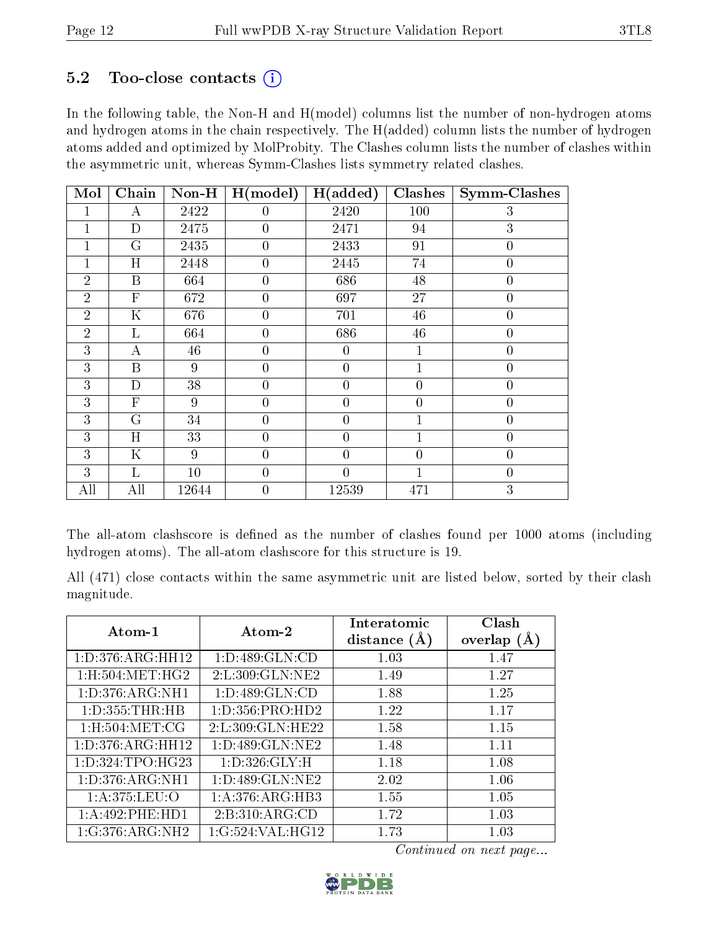#### $5.2$  Too-close contacts  $(i)$

In the following table, the Non-H and H(model) columns list the number of non-hydrogen atoms and hydrogen atoms in the chain respectively. The H(added) column lists the number of hydrogen atoms added and optimized by MolProbity. The Clashes column lists the number of clashes within the asymmetric unit, whereas Symm-Clashes lists symmetry related clashes.

| Mol            | Chain        | $Non-H$ | H (model)      | H(added)         | Clashes        | <b>Symm-Clashes</b> |
|----------------|--------------|---------|----------------|------------------|----------------|---------------------|
|                | А            | 2422    | 0              | 2420             | 100            | 3                   |
|                | D            | 2475    | $\theta$       | 2471             | 94             | 3                   |
|                | G            | 2435    | $\overline{0}$ | 2433             | 91             | $\overline{0}$      |
|                | H            | 2448    | $\theta$       | 2445             | 74             | $\overline{0}$      |
| $\overline{2}$ | $\mathbf{B}$ | 664     | $\theta$       | 686              | 48             | $\overline{0}$      |
| $\overline{2}$ | $\mathbf{F}$ | 672     | $\overline{0}$ | 697              | 27             | $\overline{0}$      |
| $\overline{2}$ | $\mathbf K$  | 676     | $\overline{0}$ | 701              | 46             | $\overline{0}$      |
| $\overline{2}$ | L            | 664     | $\overline{0}$ | 686              | 46             | $\overline{0}$      |
| 3              | А            | 46      | $\overline{0}$ | $\boldsymbol{0}$ | $\mathbf 1$    | $\boldsymbol{0}$    |
| 3              | $\mathbf{B}$ | 9       | $\overline{0}$ | $\boldsymbol{0}$ | $\mathbf 1$    | $\overline{0}$      |
| 3              | D            | 38      | $\overline{0}$ | $\overline{0}$   | $\overline{0}$ | $\overline{0}$      |
| 3              | $\mathbf{F}$ | 9       | $\overline{0}$ | $\overline{0}$   | $\overline{0}$ | $\overline{0}$      |
| 3              | G            | 34      | $\overline{0}$ | $\overline{0}$   | $\overline{1}$ | $\overline{0}$      |
| 3              | H            | 33      | $\overline{0}$ | $\overline{0}$   | 1              | $\overline{0}$      |
| 3              | $\mathbf K$  | 9       | $\overline{0}$ | $\boldsymbol{0}$ | $\overline{0}$ | $\overline{0}$      |
| 3              | L            | 10      | $\theta$       | $\overline{0}$   | $\mathbf{1}$   | $\overline{0}$      |
| All            | All          | 12644   | $\overline{0}$ | 12539            | 471            | $\overline{3}$      |

The all-atom clashscore is defined as the number of clashes found per 1000 atoms (including hydrogen atoms). The all-atom clashscore for this structure is 19.

All (471) close contacts within the same asymmetric unit are listed below, sorted by their clash magnitude.

| Atom-1                        | Atom-2              | Interatomic<br>distance $(A)$ | Clash<br>overlap $(A)$ |
|-------------------------------|---------------------|-------------------------------|------------------------|
| 1: D: 376: ARG: HH12          | 1: D: 489: GLN: CD  | 1.03                          | 1.47                   |
| $1:$ H $:504:$ MET $:$ H $G2$ | 2:L:309:GLN:NE2     | 1.49                          | 1.27                   |
| 1: D: 376: ARG: NH1           | 1: D: 489: GLN: CD  | 1.88                          | 1.25                   |
| 1: D: 355: THR: HB            | 1: D: 356: PRO: HD2 | 1.22                          | 1.17                   |
| $1:$ H $:504:$ MET $:$ CG     | 2:L:309:GLN:HE22    | 1.58                          | 1.15                   |
| 1: D: 376: ARG: HH12          | 1: D: 489: GLN: NE2 | 1.48                          | 1.11                   |
| 1: D: 324: TPO: HG23          | 1: D: 326: GLY: H   | 1.18                          | 1.08                   |
| 1: D: 376: ARG: NH1           | 1: D: 489: GLN: NE2 | 2.02                          | 1.06                   |
| 1: A:375: LEU:O               | 1: A:376:ARG:HB3    | 1.55                          | 1.05                   |
| 1:A:492:PHE:HD1               | 2: B:310: ARG:CD    | 1.72                          | 1.03                   |
| 1:G:376:ARG:NH2               | 1:G:524:VAL:HG12    | 1.73                          | 1.03                   |

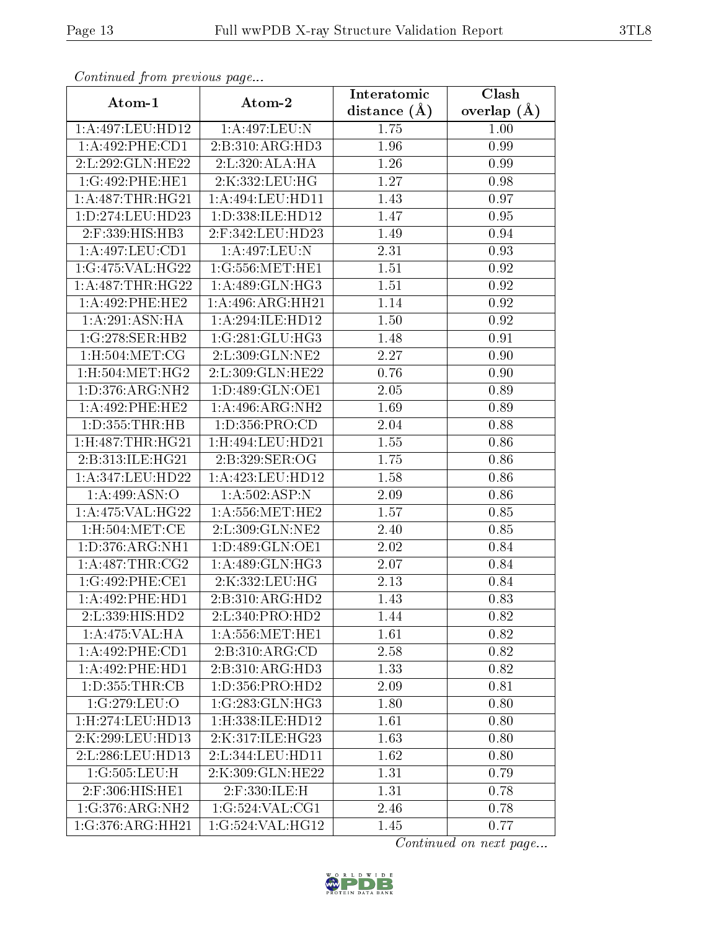| Communa from previous page |                                | Interatomic    | Clash           |
|----------------------------|--------------------------------|----------------|-----------------|
| Atom-1                     | Atom-2                         | distance $(A)$ | overlap $(\AA)$ |
| 1:A:497:LEU:HD12           | 1:A:497:LEU:N                  | 1.75           | 1.00            |
| 1: A:492: PHE:CD1          | 2:B:310:ARG:HD3                | 1.96           | 0.99            |
| 2: L: 292: GLN: HE22       | 2:L:320:ALA:HA                 | 1.26           | 0.99            |
| 1:G:492:PHE:HE1            | 2:K:332:LEU:HG                 | 1.27           | 0.98            |
| 1: A:487:THR:HG21          | 1:A:494:LEU:HD11               | 1.43           | 0.97            |
| 1:D:274:LEU:HD23           | 1:D:338:ILE:HD12               | 1.47           | 0.95            |
| 2:F:339:HIS:HB3            | 2:F:342:LEU:HD23               | 1.49           | 0.94            |
| 1: A:497:LEU:CD1           | 1:A:497:LEU:N                  | 2.31           | 0.93            |
| 1:G:475:VAL:HG22           | 1:G:556:MET:HE1                | 1.51           | 0.92            |
| 1:A:487:THR:HG22           | 1: A:489: GLN: HG3             | 1.51           | 0.92            |
| 1: A:492:PHE:HE2           | 1:A:496:ARG:HH21               | 1.14           | 0.92            |
| 1:A:291:ASN:HA             | 1:A:294:ILE:HD12               | 1.50           | 0.92            |
| 1:G:278:SER:HB2            | 1:G:281:GLU:HG3                | 1.48           | 0.91            |
| 1: H: 504: MET: CG         | $2: L:309: \overline{GLN:NE2}$ | 2.27           | 0.90            |
| 1:H:504:MET:HG2            | 2:L:309:GLN:HE22               | 0.76           | 0.90            |
| 1: D: 376: ARG: NH2        | 1:D:489:GLN:OE1                | 2.05           | 0.89            |
| 1:A:492:PHE:HE2            | 1:A:496:ARG:NH2                | 1.69           | 0.89            |
| 1: D: 355: THR: HB         | 1: D: 356: PRO:CD              | 2.04           | 0.88            |
| 1:H:487:THR:HG21           | 1:H:494:LEU:HD21               | 1.55           | 0.86            |
| 2:B:313:ILE:HG21           | 2:B:329:SER:OG                 | 1.75           | 0.86            |
| 1: A:347: LEU: HD22        | 1:A:423:LEU:HD12               | 1.58           | 0.86            |
| 1: A:499: ASN:O            | 1:A:502:ASP:N                  | $2.09\,$       | 0.86            |
| 1:A:475:VAL:HG22           | 1: A: 556: MET: HE2            | 1.57           | 0.85            |
| 1:H:504:MET:CE             | 2:L:309:GLN:NE2                | 2.40           | 0.85            |
| 1: D: 376: ARG: NH1        | 1: D: 489: GLN: OE1            | 2.02           | 0.84            |
| 1: A:487:THR:CG2           | 1:A:489:GLN:HG3                | 2.07           | 0.84            |
| 1:G:492:PHE:CE1            | 2:K:332:LEU:HG                 | 2.13           | 0.84            |
| 1:A:492:PHE:HD1            | 2:B:310:ARG:HD2                | 1.43           | 0.83            |
| 2:L:339:HIS:HD2            | 2:L:340:PRO:HD2                | 1.44           | 0.82            |
| 1:A:475:VAL:HA             | 1: A: 556: MET: HE1            | 1.61           | 0.82            |
| 1: A:492: PHE:CD1          | 2:B:310:ARG:CD                 | 2.58           | 0.82            |
| 1:A:492:PHE:HD1            | 2:B:310:ARG:HD3                | 1.33           | 0.82            |
| 1: D: 355: THR: CB         | 1: D: 356: PRO: HD2            | 2.09           | 0.81            |
| 1:G:279:LEU:O              | 1:G:283:GLN:HG3                | 1.80           | 0.80            |
| 1:H:274:LEU:HD13           | 1: H: 338: ILE: HD12           | 1.61           | 0.80            |
| 2:K:299:LEU:HD13           | 2:K:317:ILE:HG23               | 1.63           | 0.80            |
| 2:L:286:LEU:HD13           | 2:L:344:LEU:HD11               | 1.62           | 0.80            |
| 1:G:505:LEU:H              | 2:K:309:GLN:HE22               | 1.31           | 0.79            |
| 2:F:306:HIS:HE1            | 2:F:330:ILE:H                  | 1.31           | 0.78            |
| 1:G:376:ARG:NH2            | 1:G:524:VAL:CG1                | 2.46           | 0.78            |
| 1:G:376:ARG:HH21           | 1:G:524:VAL:HG12               | 1.45           | 0.77            |

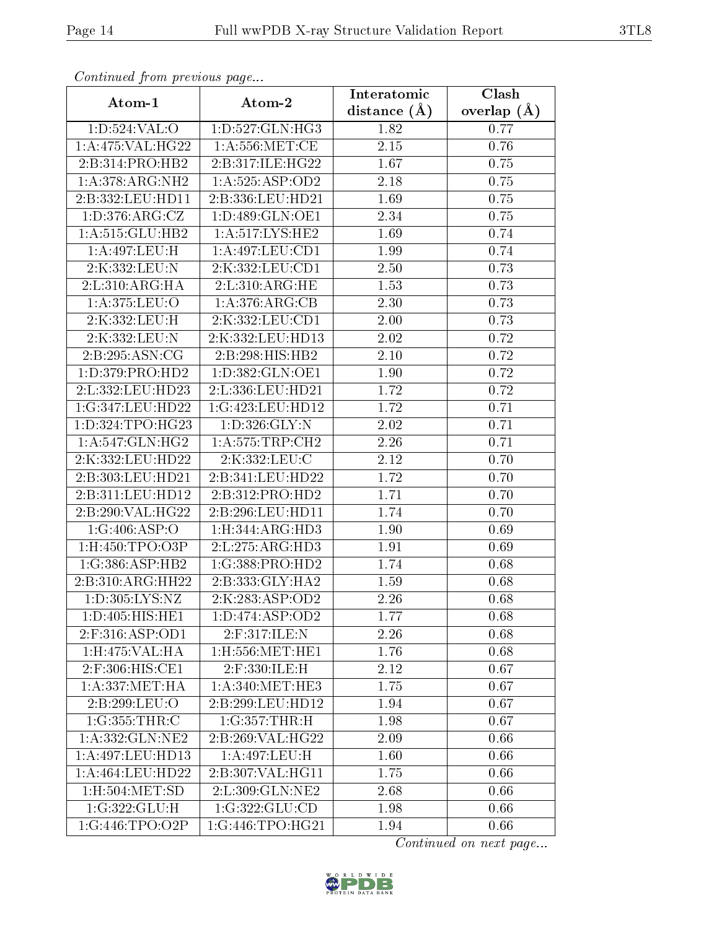| Communica from precious page |                               | Interatomic    | Clash             |
|------------------------------|-------------------------------|----------------|-------------------|
| Atom-1                       | Atom-2                        | distance $(A)$ | overlap $(\AA)$   |
| 1: D: 524: VAL: O            | 1:D:527:GLN:HG3               | 1.82           | 0.77              |
| 1:A:475:VAL:HG22             | 1: A: 556: MET:CE             | 2.15           | 0.76              |
| 2:B:314:PRO:HB2              | 2:B:317:ILE:HG22              | 1.67           | 0.75              |
| 1: A:378:ARG:NH2             | 1:A:525:ASP:OD2               | 2.18           | 0.75              |
| 2:B:332:LEU:HD11             | 2:B:336:LEU:HD21              | 1.69           | 0.75              |
| 1: D:376: ARG: CZ            | 1:D:489:GLN:OE1               | 2.34           | 0.75              |
| 1: A: 515: GLU: HB2          | 1: A:517: LYS: HE2            | 1.69           | 0.74              |
| 1:A:497:LEU:H                | 1:A:497:LEU:CD1               | 1.99           | 0.74              |
| 2:K:332:LEU:N                | 2:K:332:LEU:CD1               | 2.50           | 0.73              |
| 2: L: 310: ARG: HA           | 2:L:310:ARG:HE                | 1.53           | 0.73              |
| 1:A:375:LEU:O                | 1: A:376:ARG:CB               | 2.30           | 0.73              |
| 2:K:332:LEU:H                | 2:K:332:LEU:CD1               | 2.00           | 0.73              |
| 2:K:332:LEU:N                | 2:K:332:LEU:HD13              | 2.02           | 0.72              |
| 2:B:295:ASN:CG               | 2:B:298:HIS:HB2               | 2.10           | 0.72              |
| 1: D: 379: PRO: HD2          | 1:D:382:GLN:OE1               | 1.90           | 0.72              |
| 2:L:332:LEU:HD23             | 2:L:336:LEU:HD21              | 1.72           | 0.72              |
| 1:G:347:LEU:HD22             | 1:G:423:LEU:HD12              | 1.72           | 0.71              |
| 1:D:324:TPO:HG23             | 1: D: 326: GLY:N              | 2.02           | 0.71              |
| 1: A:547: GLN: HG2           | 1: A:575:TRP:CH2              | 2.26           | 0.71              |
| 2:K:332:LEU:HD22             | 2:K:332:LEU:C                 | 2.12           | 0.70              |
| 2:B:303:LEU:HD21             | 2:B:341:LEU:HD22              | 1.72           | 0.70              |
| 2:B:311:LEU:HD12             | 2:B:312:PRO:HD2               | 1.71           | 0.70              |
| 2:B:290:VAL:HG22             | 2:B:296:LEU:HD11              | 1.74           | 0.70              |
| 1:G:406:ASP:O                | 1: H: 344: ARG: HD3           | 1.90           | 0.69              |
| 1:H:450:TPO:O3P              | 2:L:275:ARG:HD3               | 1.91           | 0.69              |
| 1:G:386:ASP:HB2              | 1:G:388:PRO:HD2               | 1.74           | 0.68              |
| 2:B:310:ARG:HH22             | 2:B:333:GLY:HA2               | 1.59           | 0.68              |
| 1:D:305:LYS:NZ               | 2:K:283:ASP:OD2               | 2.26           | $\overline{0.68}$ |
| 1: D: 405: HIS: HE1          | 1: D: 474: ASP: OD2           | 1.77           | 0.68              |
| 2:F:316:ASP:OD1              | 2:F:317:ILE:N                 | 2.26           | 0.68              |
| $1:$ H:475:VAL:HA            | $1:$ H $:556:$ MET $:$ HE $1$ | 1.76           | 0.68              |
| 2:F:306:HIS:CE1              | 2:F:330:ILE:H                 | 2.12           | 0.67              |
| 1: A: 337: MET: HA           | 1: A:340:MET:HE3              | 1.75           | 0.67              |
| 2:B:299:LEU:O                | 2:B:299:LEU:HD12              | 1.94           | 0.67              |
| 1:G:355:THR:C                | 1:G:357:THR:H                 | 1.98           | 0.67              |
| 1:A:332:GLN:NE2              | 2:B:269:VAL:HG22              | 2.09           | 0.66              |
| 1:A:497:LEU:HD13             | 1:A:497:LEU:H                 | 1.60           | 0.66              |
| 1: A: 464: LEU: HD22         | 2:B:307:VAL:HG11              | 1.75           | 0.66              |
| $1:$ H $:504:$ MET $:SD$     | 2:L:309:GLN:NE2               | 2.68           | 0.66              |
| 1:G:322:GLU:H                | 1:G:322:GLU:CD                | 1.98           | 0.66              |
| 1:G:446:TPO:O2P              | 1:G:446:TPO:HG21              | 1.94           | 0.66              |

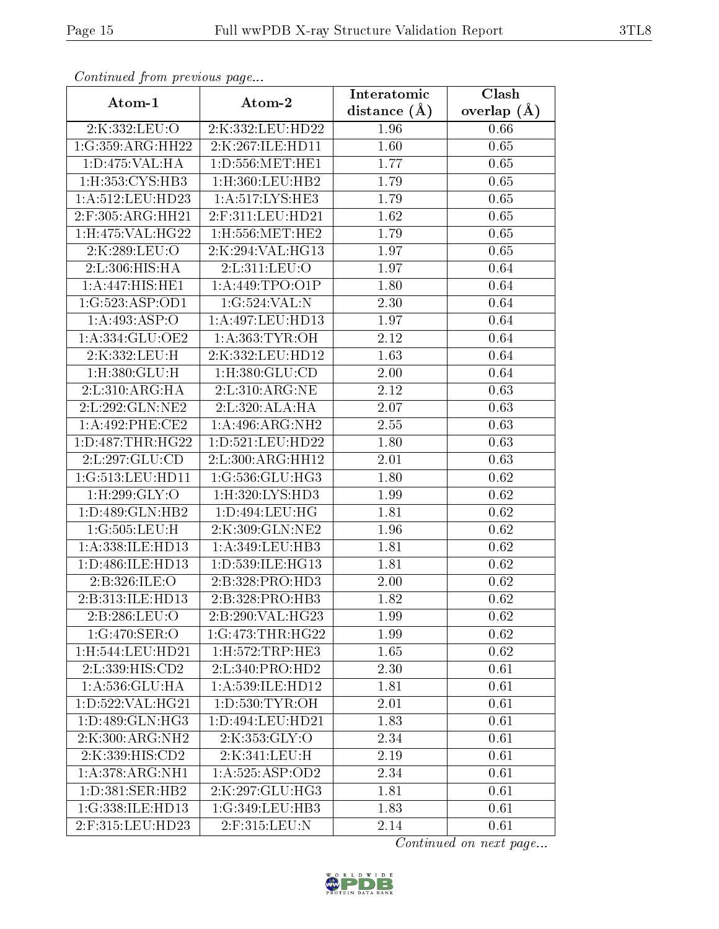| Continuou jiom protivus pugo |                               | Interatomic       | Clash           |
|------------------------------|-------------------------------|-------------------|-----------------|
| Atom-1                       | Atom-2                        | distance $(A)$    | overlap $(\AA)$ |
| 2:K:332:LEU:O                | 2:K:332:LEU:HD22              | 1.96              | 0.66            |
| 1:G:359:ARG:HH22             | 2:K:267:ILE:HD11              | 1.60              | 0.65            |
| 1: D: 475: VAL: HA           | 1: D: 556: MET: HE1           | 1.77              | 0.65            |
| 1: H: 353: CYS: HB3          | $1:$ H $:360:$ LEU $:$ HB $2$ | 1.79              | 0.65            |
| 1:A:512:LEU:HD23             | 1: A:517:LYS:HE3              | 1.79              | 0.65            |
| 2:F:305:ARG:HH21             | 2:F:311:LEU:HD21              | 1.62              | 0.65            |
| 1:H:475:VAL:HG22             | $1:$ H:556:MET:HE2            | 1.79              | 0.65            |
| 2:K:289:LEU:O                | 2:K:294:VAL:HG13              | 1.97              | 0.65            |
| 2:L:306:HIS:HA               | 2:L:311:LEU:O                 | 1.97              | 0.64            |
| 1:A:447:HIS:HE1              | 1: A:449:TPO:O1P              | 1.80              | 0.64            |
| 1:G:523:ASP:OD1              | 1:G:524:VAL:N                 | 2.30              | 0.64            |
| 1:A:493:ASP:O                | 1:A:497:LEU:HD13              | 1.97              | 0.64            |
| 1:A:334:GLU:OE2              | 1:A:363:TYR:OH                | 2.12              | 0.64            |
| 2:K:332:LEU:H                | 2:K:332:LEU:HD12              | 1.63              | 0.64            |
| 1:H:380:GLU:H                | 1:H:380:GLU:CD                | 2.00              | 0.64            |
| 2:L:310:ARG:HA               | 2: L:310: ARG: NE             | 2.12              | 0.63            |
| 2:L:292:GLN:NE2              | 2:L:320:ALA:HA                | $\overline{2.07}$ | 0.63            |
| 1:A:492:PHE:CE2              | 1:A:496:ARG:NH2               | 2.55              | 0.63            |
| 1:D:487:THR:HG22             | 1:D:521:LEU:HD22              | 1.80              | 0.63            |
| 2:L:297:GLU:CD               | 2:L:300:ARG:HH12              | 2.01              | 0.63            |
| 1:G:513:LEU:HD11             | 1:G:536:GLU:HG3               | 1.80              | 0.62            |
| 1: H:299: GLY:O              | 1: H:320: LYS: HD3            | 1.99              | 0.62            |
| 1: D: 489: GLN: HB2          | 1: D: 494: LEU: HG            | 1.81              | 0.62            |
| 1:G:505:LEU:H                | 2:K:309:GLN:NE2               | <b>1.96</b>       | 0.62            |
| 1: A: 338: ILE: HD13         | 1: A:349:LEU:HB3              | 1.81              | 0.62            |
| 1:D:486:ILE:HD13             | 1:D:539:ILE:HG13              | 1.81              | 0.62            |
| 2:B:326:ILE:O                | 2:B:328:PRO:HD3               | 2.00              | 0.62            |
| 2:B:313:ILE:HD13             | 2:B:328:PRO:HB3               | $\bar{1}.82$      | 0.62            |
| 2:B:286:LEU:O                | 2:B:290:VAL:HG23              | 1.99              | 0.62            |
| 1:G:470:SER:O                | 1:G:473:THR:HG22              | 1.99              | 0.62            |
| 1:H:544:LEU:HD21             | 1: H: 572: TRP: HE3           | 1.65              | 0.62            |
| 2:L:339:HIS:CD2              | 2: L:340: PRO:H <sub>D2</sub> | 2.30              | 0.61            |
| 1: A: 536: GLU: HA           | 1:A:539:ILE:HD12              | 1.81              | 0.61            |
| $1: D: 522: \sqrt{AL:HG21}$  | 1: D: 530: TYR: OH            | $2.01\,$          | 0.61            |
| 1: D: 489: GLN: HG3          | 1:D:494:LEU:HD21              | 1.83              | 0.61            |
| 2:K:300:ARG:NH2              | 2:K:353:GLY:O                 | 2.34              | 0.61            |
| 2:K:339:HIS:CD2              | 2:K:341:LEU:H                 | 2.19              | 0.61            |
| 1: A:378:ARG:NH1             | 1:A:525:ASP:OD2               | 2.34              | 0.61            |
| 1: D: 381: SER: HB2          | 2:K:297:GLU:HG3               | 1.81              | 0.61            |
| 1:G:338:ILE:HD13             | 1:G:349:LEU:HB3               | 1.83              | 0.61            |
| 2:F:315:LEU:HD23             | 2:F:315:LEU:N                 | 2.14              | 0.61            |

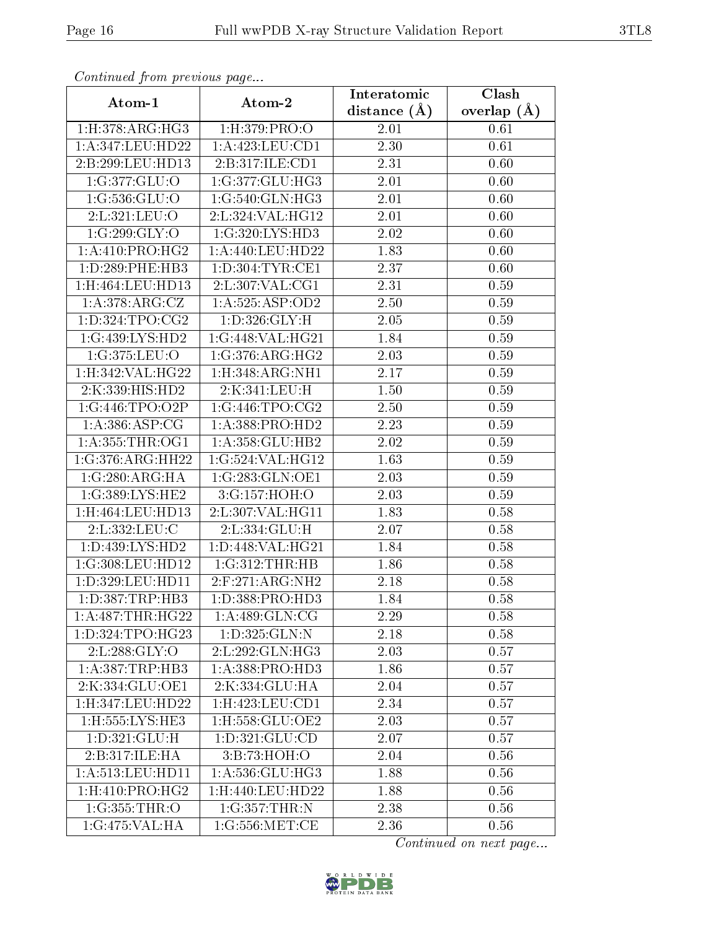| Commaca jibin previous page         |                             | Interatomic    | Clash           |
|-------------------------------------|-----------------------------|----------------|-----------------|
| Atom-1                              | Atom-2                      | distance $(A)$ | overlap $(\AA)$ |
| 1: H:378: ARG:HG3                   | 1:H:379:PRO:O               | 2.01           | 0.61            |
| 1:A:347:LEU:HD22                    | $1:$ A:423:LEU:CD1          | 2.30           | 0.61            |
| 2:B:299:LEU:HD13                    | 2: B: 317: ILE: CD1         | 2.31           | 0.60            |
| 1:G:377:GLU:O                       | 1:G:377:GLU:HG3             | 2.01           | 0.60            |
| $1:G:536:G\overline{\mathrm{LU}:O}$ | 1:G:540:GLN:HG3             | 2.01           | 0.60            |
| 2:L:321:LEU:O                       | 2:L:324:VAL:HG12            | 2.01           | 0.60            |
| 1:G:299:GLY:O                       | 1:G:320:LYS:HD3             | 2.02           | 0.60            |
| 1: A: 410: PRO:HG2                  | 1:A:440:LEU:HD22            | 1.83           | 0.60            |
| 1: D: 289: PHE: HB3                 | 1: D: 304: TYR: CE1         | 2.37           | 0.60            |
| 1:H:464:LEU:HD13                    | 2:L:307:VAL:CG1             | 2.31           | 0.59            |
| 1:A:378:ARG:CZ                      | 1:A:525:ASP:OD2             | 2.50           | 0.59            |
| 1: D: 324: TPO: CG2                 | 1:D:326:GLY:H               | 2.05           | 0.59            |
| 1:G:439:LYS:HD2                     | 1:G:448:VAL:HG21            | 1.84           | 0.59            |
| 1:G:375:LEU:O                       | 1:G:376:ARG:HG2             | 2.03           | 0.59            |
| 1:H:342:VAL:HG22                    | 1:H:348:ARG:NH1             | 2.17           | 0.59            |
| 2:K:339:HIS:HD2                     | 2:K:341:LEU:H               | 1.50           | 0.59            |
| 1:G:446:TPO:O2P                     | 1:G:446:TPO:CG2             | 2.50           | 0.59            |
| 1: A: 386: ASP: CG                  | 1:A:388:PRO:HD2             | 2.23           | 0.59            |
| 1: A: 355: THR: OG1                 | 1:A:358:GLU:HB2             | 2.02           | 0.59            |
| 1:G:376:ARG:HH22                    | 1:G:524:VAL:HG12            | 1.63           | 0.59            |
| 1:G:280:ARG:HA                      | 1:G:283:GLN:OE1             | 2.03           | 0.59            |
| 1:G:389:LYS:HE2                     | 3:G:157:HOH:O               | 2.03           | 0.59            |
| 1:H:464:LEU:HD13                    | 2:L:307:VAL:HG11            | 1.83           | 0.58            |
| 2:L:332:LEU:C                       | 2:L:334:GLU:H               | 2.07           | 0.58            |
| 1: D: 439: LYS: HD2                 | 1: D: 448: VAL: HG21        | 1.84           | 0.58            |
| 1:G:308:LEU:HD12                    | 1:G:312:THR:HB              | 1.86           | 0.58            |
| 1:D:329:LEU:HD11                    | $2:$ F:271:ARG:NH2          | 2.18           | 0.58            |
| 1: D: 387: TRP: HB3                 | 1: D: 388: PRO: HD3         | 1.84           | 0.58            |
| 1: A:487:THR:HG22                   | 1:A:489:GLN:CG              | 2.29           | 0.58            |
| 1:D:324:TPO:HG23                    | 1: D: 325: GLN:N            | 2.18           | 0.58            |
| 2:L:288:GLY:O                       | 2:L:292:GLN:HG3             | 2.03           | 0.57            |
| 1: A: 387: TRP: HB3                 | 1:A:388:PRO:H <sub>D3</sub> | 1.86           | 0.57            |
| 2:K:334:GLU:OE1                     | 2:K:334:GLU:HA              | 2.04           | 0.57            |
| 1:H:347:LEU:HD22                    | 1:H:423:LEU:CD1             | 2.34           | 0.57            |
| 1:H:555:LYS:HE3                     | $1:$ H:558: $GLU$ :OE2      | 2.03           | 0.57            |
| 1:D:321:GLU:H                       | 1: D: 321: GLU: CD          | 2.07           | 0.57            |
| 2:B:317:ILE:HA                      | 3:B:73:HOH:O                | 2.04           | 0.56            |
| 1: A: 513: LEU: HD11                | 1: A:536: GLU:HG3           | 1.88           | 0.56            |
| $1:$ H $:410:$ PRO $:$ H $G2$       | 1:H:440:LEU:HD22            | 1.88           | 0.56            |
| 1:G:355:THR:O                       | 1:G:357:THR:N               | 2.38           | 0.56            |
| 1:G:475:VAL:HA                      | 1:G:556:MET:CE              | 2.36           | 0.56            |

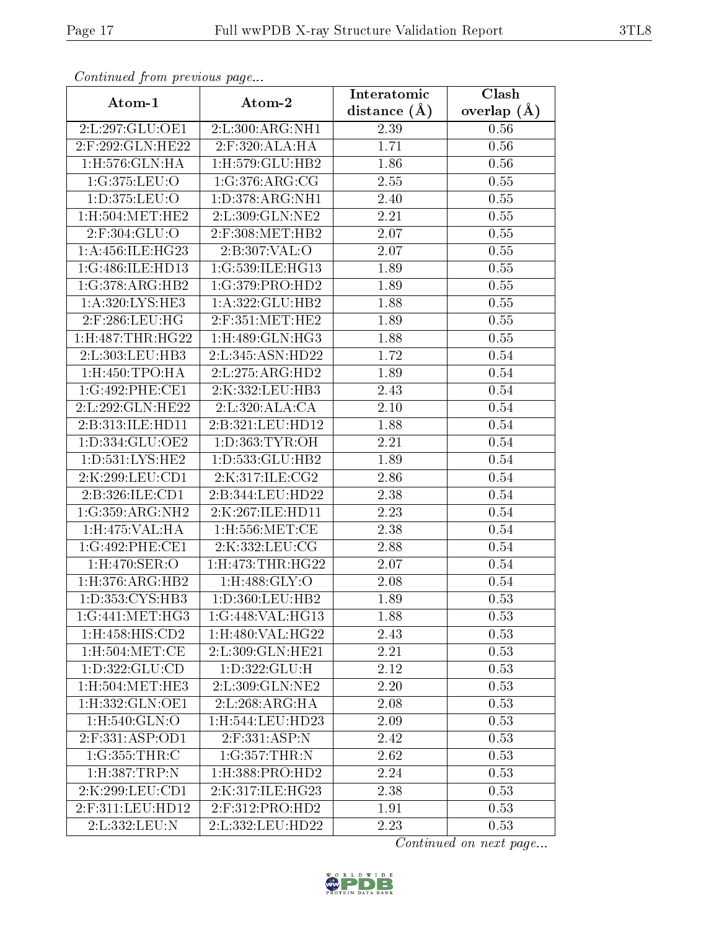| Commuca from previous page      |                                | Interatomic       | Clash           |  |
|---------------------------------|--------------------------------|-------------------|-----------------|--|
| Atom-1                          | Atom-2                         | distance $(A)$    | overlap $(\AA)$ |  |
| 2:L:297:GLU:OE1                 | 2:L:300:ARG:NH1                | 2.39              | 0.56            |  |
| 2:F:292:GLN:HE22                | 2:F:320:ALA:HA                 | 1.71              | 0.56            |  |
| $1:$ H $:576:$ GLN $:$ HA       | 1:H:579:GLU:HB2                | 1.86              | 0.56            |  |
| 1:G:375:LEU:O                   | 1:G:376:ARG:CG                 | 2.55              | 0.55            |  |
| 1:D:375:LEU:O                   | 1: D: 378: ARG: NH1            | 2.40              | 0.55            |  |
| 1:H:504:MET:HE2                 | 2:L:309:GLN:NE2                | 2.21              | 0.55            |  |
| 2:F:304:GLU:O                   | 2:F:308:MET:HB2                | 2.07              | 0.55            |  |
| 1: A: 456: ILE: HG23            | 2:B:307:VAL:O                  | 2.07              | 0.55            |  |
| 1:G:486:ILE:HD13                | 1:G:539:ILE:HG13               | 1.89              | 0.55            |  |
| 1:G:378:ARG:HB2                 | 1:G:379:PRO:HD2                | 1.89              | 0.55            |  |
| 1:A:320:LYS:HE3                 | 1:A:322:GLU:HB2                | 1.88              | 0.55            |  |
| $2:$ F:286:LEU:HG               | $2:$ F:351:MET:HE2             | 1.89              | 0.55            |  |
| 1:H:487:THR:HG22                | $1:$ H $:489:$ GLN $:$ HG3     | 1.88              | 0.55            |  |
| 2:L:303:LEU:HB3                 | 2:L:345:ASN:HD22               | 1.72              | 0.54            |  |
| $1:$ H $:450:$ TPO $:$ HA       | 2:L:275:ARG:HD2                | 1.89              | 0.54            |  |
| 1:G:492:PHE:CE1                 | 2:K:332:LEU:HB3                | 2.43              | 0.54            |  |
| 2:L:292:GLN:HE22                | 2:L:320:ALA:CA                 | 2.10              | 0.54            |  |
| 2:B:313:ILE:HD11                | 2:B:321:LEU:HD12               | 1.88              | $0.54\,$        |  |
| 1:D:334:GLU:OE2                 | 1: D: 363: TYR: OH             | 2.21              | 0.54            |  |
| 1: D: 531: LYS: HE2             | 1: D: 533: GLU: HB2            | 1.89              | 0.54            |  |
| 2:K:299:LEU:CD1                 | 2:K:317:ILE:CG2                | $\overline{2.86}$ | 0.54            |  |
| 2:B:326:ILE:CD1                 | 2:B:344:LEU:HD22               | 2.38              | 0.54            |  |
| 1:G:359:ARG:NH2                 | 2:K:267:ILE:HD11               | 2.23              | 0.54            |  |
| 1:H:475:VAL:HA                  | $1:$ H $:556:$ MET $:$ CE      | 2.38              | 0.54            |  |
| 1:G:492:PHE:CE1                 | 2:K:332:LEU:CG                 | 2.88              | 0.54            |  |
| 1:H:470:SER:O                   | $1:$ H $:473:$ THR $:$ H $G22$ | 2.07              | 0.54            |  |
| 1: H: 376: ARG: HB2             | $1:$ H:488:GLY:O               | 2.08              | 0.54            |  |
| 1: D: 353: CYS: HB3             | 1:D:360:LEU:HB2                | 1.89              | 0.53            |  |
| 1:G:441:MET:HG3                 | 1:G:448:VAL:HG13               | 1.88              | 0.53            |  |
| $1:$ H: $458:$ HIS: $CD2$       | 1:H:480:VAL:HG22               | 2.43              | 0.53            |  |
| $1:$ H $:504:$ MET $:$ CE       | 2:L:309:GLN:HE21               | 2.21              | 0.53            |  |
| $1: D: 322: GLU: \overline{CD}$ | 1:D:322:GLU:H                  | 2.12              | 0.53            |  |
| 1:H:504:MET:HE3                 | 2:L:309:GLN:NE2                | 2.20              | 0.53            |  |
| 1:H:332:GLN:OE1                 | 2:L:268:ARG:HA                 | 2.08              | 0.53            |  |
| 1:H:540:GLN:O                   | 1:H:544:LEU:HD23               | 2.09              | 0.53            |  |
| 2:F:331:ASP:OD1                 | $2:$ F:331:ASP:N               | 2.42              | 0.53            |  |
| 1:G:355:THR:C                   | 1:G:357:THR:N                  | 2.62              | 0.53            |  |
| 1: H: 387: TRP: N               | 1:H:388:PRO:HD2                | 2.24              | 0.53            |  |
| 2:K:299:LEU:CD1                 | 2:K:317:ILE:HG23               | 2.38              | 0.53            |  |
| 2:F:311:LEU:HD12                | 2:F:312:PRO:HD2                | $\overline{1.91}$ | 0.53            |  |
| 2:L:332:LEU:N                   | 2:L:332:LEU:HD22               | 2.23              | 0.53            |  |

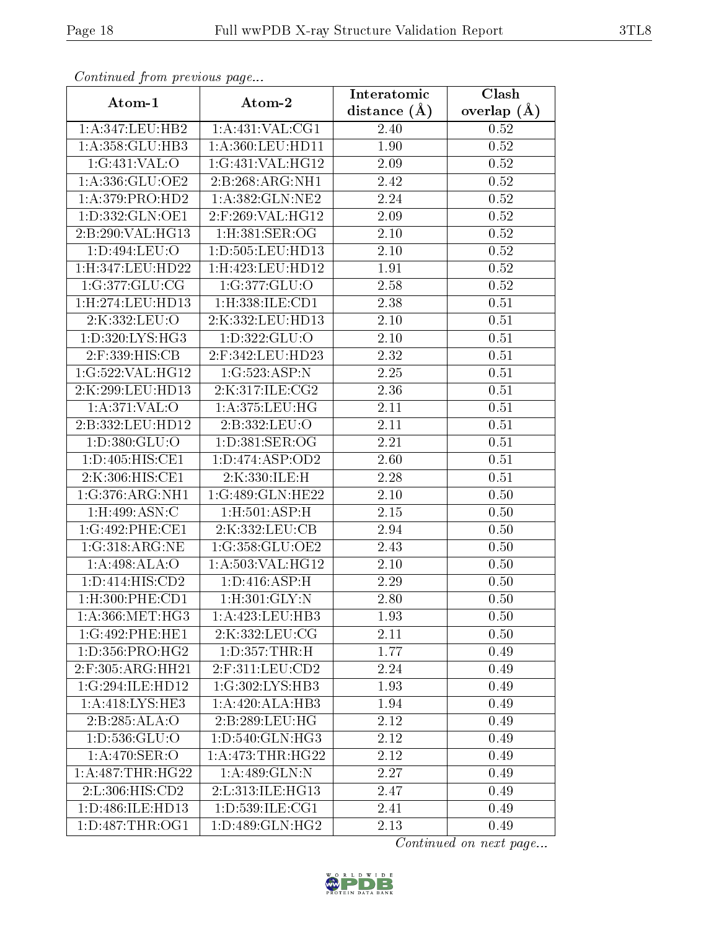| Continuea from previous page   |                                | Interatomic       | Clash           |  |
|--------------------------------|--------------------------------|-------------------|-----------------|--|
| Atom-1                         | Atom-2                         | distance $(A)$    | overlap $(\AA)$ |  |
| 1:A:347:LEU:HB2                | 1: A: 431: VAL: CG1            | 2.40              | 0.52            |  |
| 1:A:358:GLU:HB3                | 1: A:360: LEU: HD11            | $\overline{1}.90$ | 0.52            |  |
| 1:G:431:VAL:O                  | 1:G:431:VAL:HG12               | 2.09              | 0.52            |  |
| 1:A:336:GLU:OE2                | 2:B:268:ARG:NH1                | 2.42              | 0.52            |  |
| $1: A:379: \overline{PRO:HD2}$ | 1:A:382:GLN:NE2                | 2.24              | 0.52            |  |
| 1:D:332:GLN:OE1                | 2:F:269:VAL:HG12               | 2.09              | 0.52            |  |
| 2:B:290:VAL:HG13               | $1:$ H:381:SER:OG              | 2.10              | 0.52            |  |
| 1:D:494:LEU:O                  | 1: D: 505: LEU: HD13           | 2.10              | 0.52            |  |
| 1:H:347:LEU:HD22               | 1:H:423:LEU:HD12               | 1.91              | 0.52            |  |
| 1:G:377:GLU:CG                 | 1:G:377:GLU:O                  | 2.58              | 0.52            |  |
| 1: H: 274: LEU: HD13           | 1:H:338:ILE:CD1                | 2.38              | 0.51            |  |
| 2:K:332:LEU:O                  | 2:K:332:LEU:HD13               | 2.10              | 0.51            |  |
| 1: D: 320: LYS: HG3            | 1:D:322:GLU:O                  | $2.10\,$          | 0.51            |  |
| 2:F:339:HIS:CB                 | 2:F:342:LEU:HD23               | 2.32              | 0.51            |  |
| 1:G:522:VAL:HG12               | 1:G:523:ASP:N                  | 2.25              | 0.51            |  |
| 2:K:299:LEU:HD13               | 2:K:317:ILE:CG2                | 2.36              | 0.51            |  |
| 1: A:371: VAL:O                | 1:A:375:LEU:HG                 | 2.11              | 0.51            |  |
| 2:B:332:LEU:HD12               | 2:B:332:LEU:O                  | 2.11              | 0.51            |  |
| 1:D:380:GLU:O                  | 1: D: 381: SER: OG             | 2.21              | 0.51            |  |
| 1:D:405:HIS:CE1                | 1: D: 474: ASP: OD2            | 2.60              | 0.51            |  |
| 2:K:306:HIS:CE1                | 2:K:330:ILE:H                  | 2.28              | 0.51            |  |
| 1:G:376:ARG:NH1                | 1:G:489:GLN:HE22               | 2.10              | 0.50            |  |
| 1:H:499:ASN:C                  | 1:H:501:ASP:H                  | 2.15              | 0.50            |  |
| 1:G:492:PHE:CE1                | 2:K:332:LEU:CB                 | 2.94              | 0.50            |  |
| 1:G:318:ARG:NE                 | 1:G:358:GLU:OE2                | 2.43              | 0.50            |  |
| 1:A:498:ALA:O                  | 1:A:503:VAL:HG12               | 2.10              | 0.50            |  |
| 1:D:414:HIS:CD2                | 1: D: 416: ASP:H               | 2.29              | 0.50            |  |
| 1:H:300:PHE:CD1                | 1:H:301:GLY:N                  | $2.80\,$          | 0.50            |  |
| $1: A: 366$ : MET: HG3         | 1: A: 423: LEU: HB3            | 1.93              | 0.50            |  |
| 1:G:492:PHE:HE1                | 2:K:332:LEU:CG                 | 2.11              | 0.50            |  |
| 1: D: 356: PRO:HG2             | 1: D: 357: THR:H               | 1.77              | 0.49            |  |
| $2:$ F:305:ARG:HH21            | $2:$ F:311:LEU:CD2             | 2.24              | 0.49            |  |
| 1:G:294:ILE:HD12               | $1:G:302:LYS:H\overline{B3}$   | 1.93              | 0.49            |  |
| 1: A:418: LYS: HE3             | 1:A:420:ALA:HB3                | 1.94              | 0.49            |  |
| 2:B:285:ALA:O                  | 2:B:289:LEU:HG                 | 2.12              | 0.49            |  |
| 1:D:536:GLU:O                  | 1:D:540:GLN:HG3                | 2.12              | 0.49            |  |
| 1: A:470: SER:O                | 1: A:473:THR:HG22              | 2.12              | 0.49            |  |
| 1: A:487:THR:HG22              | 1:A:489:GLN:N                  | 2.27              | 0.49            |  |
| 2: L: 306: HIS: CD2            | 2:L:313:ILE:HG13               | 2.47              | 0.49            |  |
| 1:D:486:ILE:HD13               | 1:D:539:ILE:CG1                | 2.41              | 0.49            |  |
| 1: D: 487: THR: OG1            | $1: D:489: \overline{GLN:HG2}$ | 2.13              | 0.49            |  |

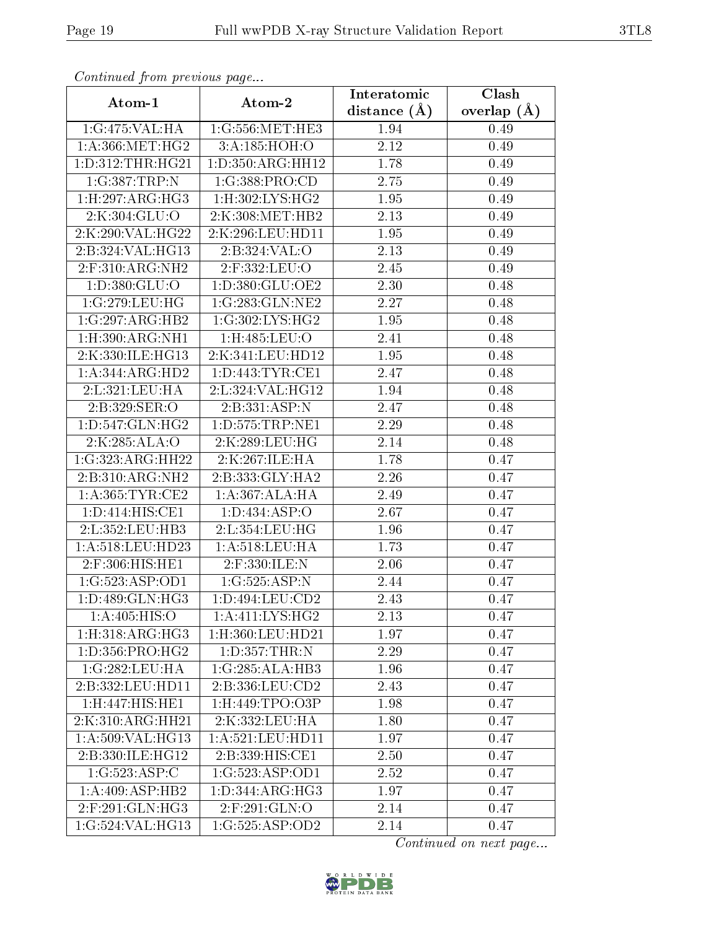| Comunaca jiom previous page                  |                         | Interatomic    | Clash         |  |
|----------------------------------------------|-------------------------|----------------|---------------|--|
| Atom-1                                       | Atom-2                  | distance $(A)$ | overlap $(A)$ |  |
| 1:G:475:VAL:HA                               | 1:G:556:MET:HE3<br>1.94 |                | 0.49          |  |
| 1: A: 366: MET:HG2                           | 3:A:185:HOH:O           | 2.12           | 0.49          |  |
| 1: D: 312: THR: HG21                         | 1:D:350:ARG:HH12        | 1.78           | 0.49          |  |
| 1:G:387:TRP:N                                | 1:G:388:PRO:CD          | 2.75           | 0.49          |  |
| 1: H:297: ARG: HG3                           | 1: H:302: LYS: HG2      | 1.95           | 0.49          |  |
| 2:K:304:GLU:O                                | 2:K:308:MET:HB2         | 2.13           | 0.49          |  |
| 2:K:290:VAL:HG22                             | 2:K:296:LEU:HD11        | 1.95           | 0.49          |  |
| 2:B:324:VAL:HG13                             | 2:B:324:VAL:O           | 2.13           | 0.49          |  |
| 2:F:310:ARG:NH2                              | 2:F:332:LEU:O           | 2.45           | 0.49          |  |
| 1:D:380:GLU:O                                | 1: D: 380: GLU: OE2     | 2.30           | 0.48          |  |
| 1:G:279:LEU:HG                               | 1:G:283:GLN:NE2         | 2.27           | 0.48          |  |
| 1:G:297:ARG:HB2                              | 1:G:302:LYS:HG2         | 1.95           | 0.48          |  |
| 1: H:390:ARG:NH1                             | 1:H:485:LEU:O           | 2.41           | 0.48          |  |
| 2:K:330:ILE:HG13                             | 2:K:341:LEU:HD12        | 1.95           | 0.48          |  |
| 1:A:344:ARG:HD2                              | 1: D: 443: TYR: CE1     | 2.47           | 0.48          |  |
| 2:L:321:LEU:HA                               | 2:L:324:VAL:HG12        | 1.94           | 0.48          |  |
| 2:B:329:SER:O                                | 2:B:331:ASP:N           | 2.47           | 0.48          |  |
| 1: D: 547: GLN: HG2                          | 1: D: 575: TRP: NE1     | 2.29           | 0.48          |  |
| 2:K:285:ALA:O                                | 2:K:289:LEU:HG          | 2.14           | 0.48          |  |
| 1:G:323:ARG:HH22                             | 2:K:267:ILE:HA          | 1.78           | 0.47          |  |
| 2:B:310:ARG:NH2                              | 2:B:333:GLY:HA2         | 2.26           | 0.47          |  |
| 1: A: 365: TYR: CE2                          | 1: A: 367: ALA: HA      | 2.49           | 0.47          |  |
| 1: D: 414: HIS: CE1                          | 1: D: 434: ASP: O       | 2.67           | 0.47          |  |
| 2:L:352:LEU:HB3                              | 2:L:354:LEU:HG          | 1.96           | 0.47          |  |
| 1: A:518:LEU:HD23                            | 1:A:518:LEU:HA          | 1.73           | 0.47          |  |
| 2:F:306:HIS:HE1                              | $2:$ F:330:ILE:N        | 2.06           | 0.47          |  |
| 1:G:523:ASP:OD1                              | 1:G:525:ASP:N           | 2.44           | 0.47          |  |
| 1: D: 489: GLN: HG3                          | 1:D:494:LEU:CD2         | 2.43           | 0.47          |  |
| 1: A:405: HIS:O                              | 1: A: 411: LYS: HG2     | 2.13           | 0.47          |  |
| $1: H:318: \overline{\text{ARG}:H\text{G}3}$ | 1:H:360:LEU:HD21        | 1.97           | 0.47          |  |
| 1: D: 356: PRO:HG2                           | 1:D:357:THR:N           | 2.29           | 0.47          |  |
| 1:G:282:LEU:HA                               | 1:G:285:ALA:HB3         | 1.96           | 0.47          |  |
| 2:B:332:LEU:HD11                             | 2:B:336:LEU:CD2         | 2.43           | 0.47          |  |
| 1:H:447:HIS:HE1                              | 1:H:449:TPO:O3P         | 1.98           | 0.47          |  |
| 2:K:310:ARG:HH21                             | 2:K:332:LEU:HA          | 1.80           | 0.47          |  |
| 1:A:509:VAL:HG13                             | 1:A:521:LEU:HD11        | 1.97           | 0.47          |  |
| 2:B:330:ILE:HG12                             | 2:B:339:HIS:CE1         | 2.50           | 0.47          |  |
| 1:G:523:ASP:C                                | 1:G:523:ASP:OD1         | 2.52           | 0.47          |  |
| 1:A:409:ASP:HB2                              | 1:D:344:ARG:HG3         | 1.97           | 0.47          |  |
| $2:$ F:291:GLN:HG3                           | $2:$ F:291:GLN:O        | 2.14           | 0.47          |  |
| 1:G:524:VAL:HG13                             | 1:G:525:ASP:OD2         | 2.14           | 0.47          |  |

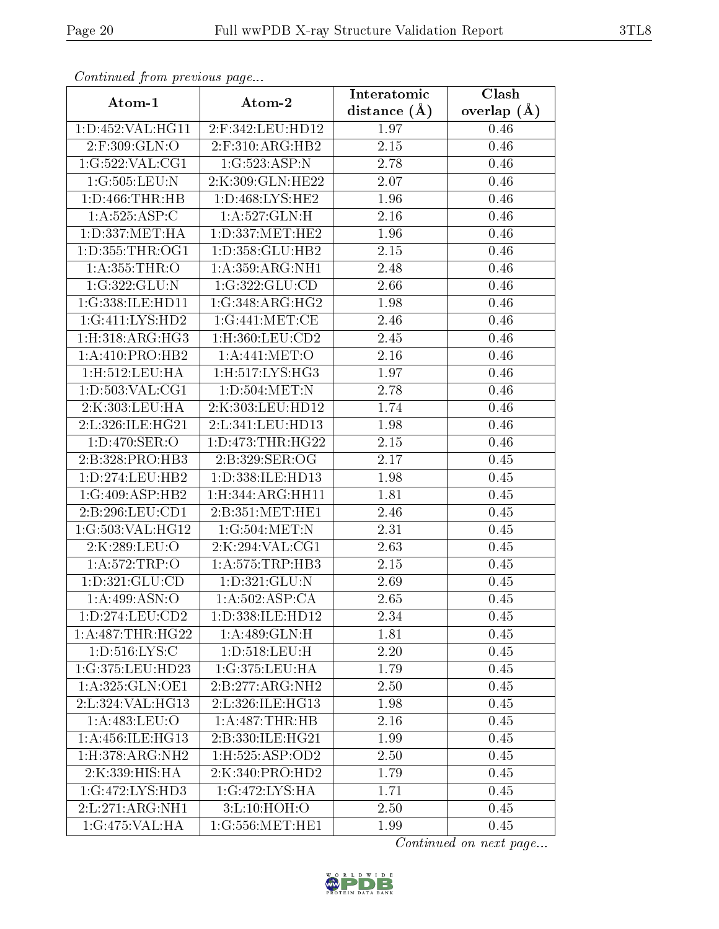| Comunaca jiom previous page            |                               | Interatomic       | Clash           |  |
|----------------------------------------|-------------------------------|-------------------|-----------------|--|
| Atom-1                                 | Atom-2                        | distance $(A)$    | overlap $(\AA)$ |  |
| 1:D:452:VAL:HG11                       | 2:F:342:LEU:HD12              | 1.97              | 0.46            |  |
| 2:F:309:GLN:O                          | $2:$ F:310:ARG:HB2            | 2.15              | 0.46            |  |
| 1:G:522:VAL:CG1                        | 1:G:523:ASP:N                 | 2.78              | 0.46            |  |
| 1:G:505:LEU:N                          | 2:K:309:GLN:HE22              | 2.07              | 0.46            |  |
| 1: D: 466: THR: HB                     | 1:D:468:LYS:HE2               | 1.96              | 0.46            |  |
| 1:A:525:ASP:C                          | 1:A:527:GLN:H                 | 2.16              | 0.46            |  |
| 1:D:337:MET:HA                         | 1: D: 337: MET: HE2           | 1.96              | 0.46            |  |
| 1: D: 355: THR: OG1                    | 1: D: 358: GLU: HB2           | 2.15              | 0.46            |  |
| 1:A:355:THR:O                          | 1: A:359: ARG: NH1            | 2.48              | 0.46            |  |
| 1:G:322:GLU:N                          | 1:G:322:GLU:CD                | 2.66              | 0.46            |  |
| 1:G:338:ILE:HD11                       | 1:G:348:ARG:HG2               | 1.98              | 0.46            |  |
| 1:G:411:LYS:HD2                        | 1:G:441:MET:CE                | 2.46              | 0.46            |  |
| 1: H:318: ARG:HG3                      | $1:$ H $:360:$ LEU $:$ CD $2$ | 2.45              | 0.46            |  |
| 1:A:410:PRO:HB2                        | 1: A:441: MET:O               | 2.16              | 0.46            |  |
| 1:H:512:LEU:HA                         | 1:H:517:LYS:HG3               | 1.97              | 0.46            |  |
| 1: D: 503: VAL: CG1                    | 1: D: 504: MET: N             | 2.78              | 0.46            |  |
| 2:K:303:LEU:HA                         | 2:K:303:LEU:HD12              | 1.74              | 0.46            |  |
| 2:L:326:ILE:HG21                       | 2:L:341:LEU:HD13              | 1.98              | 0.46            |  |
| $1: D:470: \overline{\text{SER}:O}$    | 1: D: 473: THR: HG22          | 2.15              | 0.46            |  |
| 2:B:328:PRO:HB3                        | 2: B: 329: SER: OG            | 2.17              | 0.45            |  |
| 1: D: 274: LEU: HB2                    | 1:D:338:ILE:HD13              | 1.98              | 0.45            |  |
| 1:G:409:ASP:HB2                        | 1: H: 344: ARG: HH11          | 1.81              | 0.45            |  |
| 2:B:296:LEU:CD1                        | 2:B:351:MET:HE1               | 2.46              | 0.45            |  |
| 1:G:503:VAL:HG12                       | 1:G:504:MET:N                 | 2.31              | 0.45            |  |
| 2:K:289:LEU:O                          | 2:K:294:VAL:CG1               | 2.63              | 0.45            |  |
| 1:A:572:TRP:O                          | 1:A:575:TRP:HB3               | $\overline{2.15}$ | 0.45            |  |
| 1: D: 321: GLU: CD                     | 1:D:321:GLU:N                 | 2.69              | 0.45            |  |
| 1: A:499: ASN:O                        | 1: A: 502: ASP: CA            | 2.65              | 0.45            |  |
| 1:D:274:LEU:CD2                        | 1: D: 338: ILE: HD12          | 2.34              | 0.45            |  |
| 1:A:487:THR:HG22                       | 1: A:489: GLN:H               | 1.81              | 0.45            |  |
| 1: D: 516: LYS:C                       | 1:D:518:LEU:H                 | 2.20              | 0.45            |  |
| 1:G:375:LEU:HD23                       | 1:G:375:LEU:HA                | 1.79              | 0.45            |  |
| 1:A:325:GLN:OE1                        | 2:B:277:ARG:NH2               | 2.50              | 0.45            |  |
| 2:L:324: VAL: HG13                     | 2:L:326:ILE:HG13              | 1.98              | 0.45            |  |
| 1:A:483:LEU:O                          | 1:A:487:THR:HB                | 2.16              | 0.45            |  |
| 1: A: 456: ILE: HG13                   | 2:B:330:ILE:HG21              | 1.99              | 0.45            |  |
| 1: H: 378: ARG: NH2                    | 1: H: 525: ASP: OD2           | 2.50              | 0.45            |  |
| 2:K:339:HIS:HA                         | 2:K:340:PRO:HD2               | 1.79              | 0.45            |  |
| 1:G:472:LYS:HD3                        | 1:G:472:LYS:HA                | 1.71              | 0.45            |  |
| 2: L: 271: ARG: NH1                    | 3:L:10:HOH:O                  | 2.50              | 0.45            |  |
| $1:G:475:V\overline{AL:H}\overline{A}$ | 1:G:556:MET:HE1               | 1.99              | 0.45            |  |

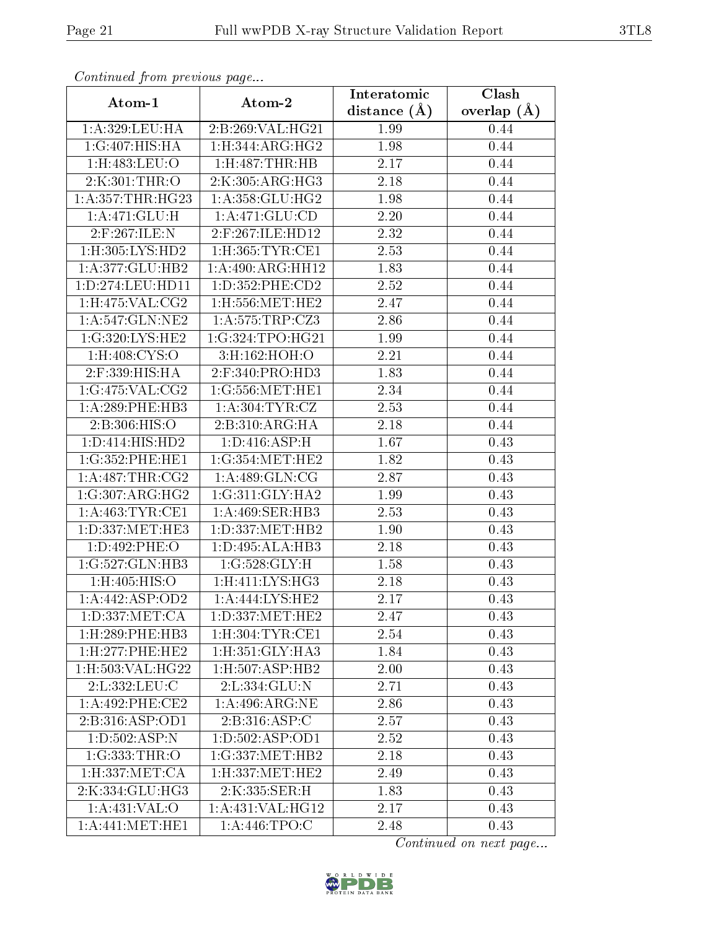| Continuea from previous page                 |                            | Interatomic    | Clash         |  |
|----------------------------------------------|----------------------------|----------------|---------------|--|
| Atom-1                                       | Atom-2                     | distance $(A)$ | overlap $(A)$ |  |
| 1:A:329:LEU:HA                               | 2:B:269:VAL:HG21           | 1.99           | 0.44          |  |
| 1:G:407:HIS:HA                               | 1: H: 344: ARG: HG2        | 1.98           | 0.44          |  |
| 1:H:483:LEU:O                                | $1:$ H $:487:$ THR $:$ HB  | 2.17           | 0.44          |  |
| 2:K:301:THR:O                                | 2:K:305:ARG:HG3            | 2.18           | 0.44          |  |
| 1: A: 357: THR: HG23                         | 1: A: 358: GLU: HG2        | 1.98           | 0.44          |  |
| 1:A:471:GLU:H                                | 1: A:471: GLU:CD           | 2.20           | 0.44          |  |
| 2:F:267:ILE:N                                | 2:F:267:ILE:HD12           | 2.32           | 0.44          |  |
| 1: H: 305: LYS: HD2                          | $1:$ H $:365:$ TYR $:$ CE1 | 2.53           | 0.44          |  |
| 1:A:377:GLU:HB2                              | 1:A:490:ARG:HH12           | 1.83           | 0.44          |  |
| 1:D:274:LEU:HD11                             | 1: D: 352: PHE: CD2        | 2.52           | 0.44          |  |
| 1: H:475: VAL: CG2                           | $1:$ H $:556:$ MET $:$ HE2 | 2.47           | 0.44          |  |
| 1: A:547: GLN:NE2                            | 1: A: 575: TRP: CZ3        | 2.86           | 0.44          |  |
| 1:G:320:LYS:HE2                              | 1:G:324:TPO:HG21           | 1.99           | 0.44          |  |
| $1:$ H: $408:$ CYS:O                         | 3:H:162:HOH:O              | 2.21           | 0.44          |  |
| 2:F:339:HIS:HA                               | 2:F:340:PRO:HD3            | 1.83           | 0.44          |  |
| 1:G:475:VAL:CG2                              | 1:G:556:MET:HE1            | 2.34           | 0.44          |  |
| $1: A:289:$ PHE:HB3                          | 1: A:304:TYR:CZ            | 2.53           | 0.44          |  |
| 2:B:306:HIS:O                                | 2: B:310: ARG: HA          | 2.18           | 0.44          |  |
| 1:D:414:HIS:HD2                              | 1: D: 416: ASP:H           | 1.67           | 0.43          |  |
| 1:G:352:PHE:HE1                              | 1:G:354:MET:HE2            | 1.82           | 0.43          |  |
| 1: A:487:THR:CG2                             | 1:A:489:GLN:CG             | 2.87           | 0.43          |  |
| 1:G:307:ARG:HG2                              | 1:G:311:GLY:HA2            | 1.99           | 0.43          |  |
| 1: A: 463: TYR: CE1                          | 1:A:469:SER:HB3            | 2.53           | 0.43          |  |
| 1:D:337:MET:HE3                              | 1:D:337:MET:HB2            | 1.90           | 0.43          |  |
| 1:D:492:PHE:O                                | 1:D:495:ALA:HB3            | 2.18           | 0.43          |  |
| 1:G:527:GLN:HB3                              | 1:G:528:GLY:H              | 1.58           | 0.43          |  |
| 1:H:405:HIS:O                                | 1:H:411:LYS:HG3            | 2.18           | 0.43          |  |
| 1:A:442:ASP:OD2                              | 1:A:444:LYS:HE2            | 2.17           | 0.43          |  |
| 1: D: 337: MET: CA                           | 1: D: 337: MET: HE2        | 2.47           | 0.43          |  |
| 1:H:289:PHE:HB3                              | 1: H:304: TYR: CE1         | 2.54           | 0.43          |  |
| 1:H:277:PHE:HE2                              | 1: H: 351: GLY: HA3        | 1.84           | 0.43          |  |
| 1:H:503:VAL:HG22                             | 1: H: 507: ASP: HB2        | 2.00           | 0.43          |  |
| 2:L:332:LEU:C                                | 2: L: 334: GLU: N          | 2.71           | 0.43          |  |
| 1:A:492:PHE:CE2                              | 1: A:496:ARG:NE            | 2.86           | 0.43          |  |
| 2:B:316:ASP:OD1                              | 2:B:316:ASP:C              | 2.57           | 0.43          |  |
| 1: D: 502: ASP: N                            | 1:D:502:ASP:OD1            | 2.52           | 0.43          |  |
| 1:G:333:THR:O                                | 1:G:337:MET:HB2            | 2.18           | 0.43          |  |
| 1:H:337:MET:CA                               | 1: H: 337: MET: HE2        | 2.49           | 0.43          |  |
| 2:K:334:GLU:HG3                              | 2:K:335:SER:H              | 1.83           | 0.43          |  |
| 1:A:431:VAL:O                                | 1: A:431: VAL:HG12         | 2.17           | 0.43          |  |
| $1: A:441: \overline{\text{MET}:\text{HE1}}$ | 1: A:446: TPO:C            | 2.48           | 0.43          |  |

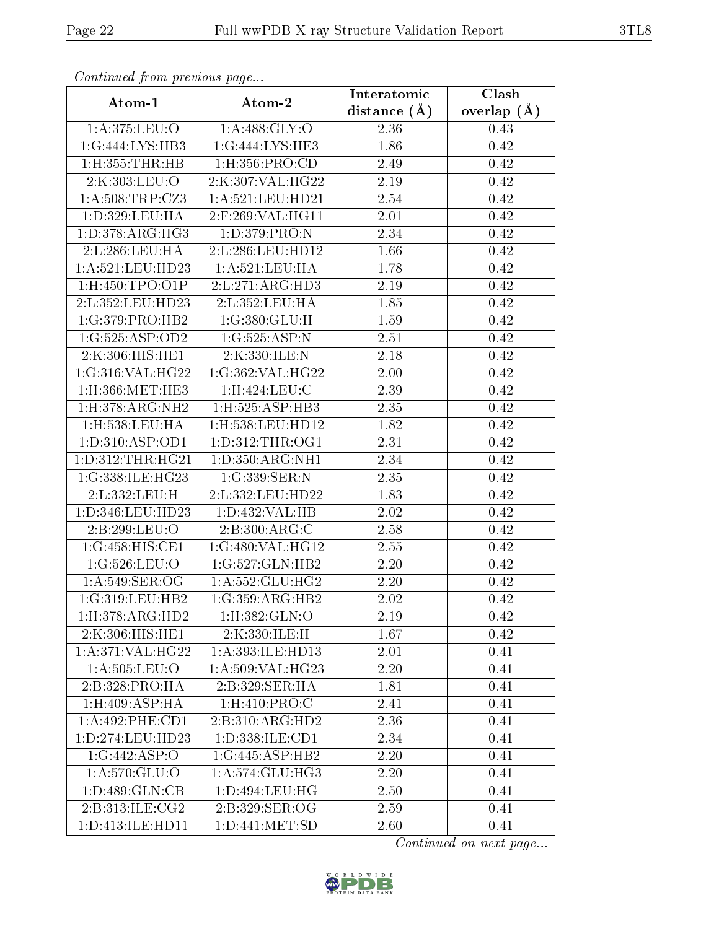| Continued from previous page |                           | Interatomic       | Clash         |  |
|------------------------------|---------------------------|-------------------|---------------|--|
| Atom-1                       | Atom-2                    | distance $(A)$    | overlap $(A)$ |  |
| 1:A:375:LEU:O                | 1:A:488:GLY:O             | 2.36              | 0.43          |  |
| 1:G:444:LYS:HB3              | 1:G:444:LYS:HE3           | 1.86              | 0.42          |  |
| 1:H:355:THR:HB               | $1:$ H $:356:$ PRO $:$ CD | 2.49              | 0.42          |  |
| 2:K:303:LEU:O                | 2:K:307:VAL:HG22          | 2.19              | 0.42          |  |
| 1: A:508:TRP: CZ3            | 1: A:521: LEU: HD21       | 2.54              | 0.42          |  |
| 1:D:329:LEU:HA               | 2:F:269:VAL:HG11          | 2.01              | 0.42          |  |
| 1: D: 378: ARG: HG3          | 1: D: 379: PRO: N         | 2.34              | 0.42          |  |
| 2:L:286:LEU:HA               | 2:L:286:LEU:HD12          | $\overline{1.66}$ | 0.42          |  |
| 1:A:521:LEU:HD23             | 1: A:521:LEU:HA           | 1.78              | 0.42          |  |
| $1:$ H $:450:$ TPO $:$ O1P   | 2:L:271:ARG:HD3           | 2.19              | 0.42          |  |
| 2:L:352:LEU:HD23             | 2:L:352:LEU:HA            | 1.85              | 0.42          |  |
| 1:G:379:PRO:HB2              | 1:G:380:GLU:H             | 1.59              | 0.42          |  |
| 1:G:525:ASP:OD2              | 1:G:525:ASP:N             | 2.51              | 0.42          |  |
| 2:K:306:HIS:HE1              | 2:K:330:ILE:N             | 2.18              | 0.42          |  |
| 1:G:316:VAL:HG22             | 1:G:362:VAL:HG22          | 2.00              | 0.42          |  |
| $1:$ H $:366:$ MET $:$ HE3   | 1:H:424:LEU:C             | 2.39              | 0.42          |  |
| 1: H:378: ARG: NH2           | 1:H:525:ASP:HB3           | 2.35              | 0.42          |  |
| $1:$ H $:538:$ LEU $:$ HA    | 1:H:538:LEU:HD12          | 1.82              | 0.42          |  |
| 1: D: 310: ASP: OD1          | 1: D: 312: THR: OG1       | 2.31              | 0.42          |  |
| 1: D: 312: THR: HG21         | 1: D: 350: ARG: NH1       | 2.34              | 0.42          |  |
| 1:G:338:ILE:HG23             | 1:G:339:SER:N             | 2.35              | 0.42          |  |
| 2:L:332:LEU:H                | 2:L:332:LEU:HD22          | 1.83              | 0.42          |  |
| 1:D:346:LEU:HD23             | 1:D:432:VAL:HB            | 2.02              | 0.42          |  |
| 2:B:299:LEU:O                | 2:B:300:ARG:C             | 2.58              | 0.42          |  |
| 1:G:458:HIS:CE1              | 1:G:480:VAL:HG12          | 2.55              | 0.42          |  |
| 1:G:526:LEU:O                | 1:G:527:GLN:HB2           | 2.20              | 0.42          |  |
| 1: A:549: SER:OG             | 1: A: 552: GLU: HG2       | 2.20              | 0.42          |  |
| 1:G:319:LEU:HB2              | 1:G:359:ARG:HB2           | 2.02              | 0.42          |  |
| 1: H: 378: ARG: HD2          | 1:H:382:GLN:O             | 2.19              | 0.42          |  |
| 2:K:306:HIS:HE1              | 2:K:330:ILE:H             | 1.67              | 0.42          |  |
| 1: A:371: VAL:HG22           | 1: A:393: ILE:HD13        | 2.01              | 0.41          |  |
| 1: A: 505: LEU: O            | 1:A:509:VAL:HG23          | 2.20              | 0.41          |  |
| 2:B:328:PRO:HA               | 2:B:329:SER:HA            | 1.81              | 0.41          |  |
| 1: H:409: ASP:HA             | 1:H:410:PRO:C             | 2.41              | 0.41          |  |
| 1: A:492: PHE:CD1            | 2:B:310:ARG:HD2           | 2.36              | 0.41          |  |
| 1:D:274:LEU:HD23             | 1: D: 338: ILE: CD1       | 2.34              | 0.41          |  |
| 1:G:442:ASP:O                | 1:G:445:ASP:HB2           | 2.20              | 0.41          |  |
| 1: A:570: GLU:O              | 1:A:574:GLU:HG3           | 2.20              | 0.41          |  |
| 1: D:489: GLN:CB             | 1:D:494:LEU:HG            | 2.50              | 0.41          |  |
| 2:B:313:ILE:CG2              | 2:B:329:SER:OG            | 2.59              | 0.41          |  |
| 1:D:413:ILE:HD11             | 1: D: 441: MET: SD        | 2.60              | 0.41          |  |

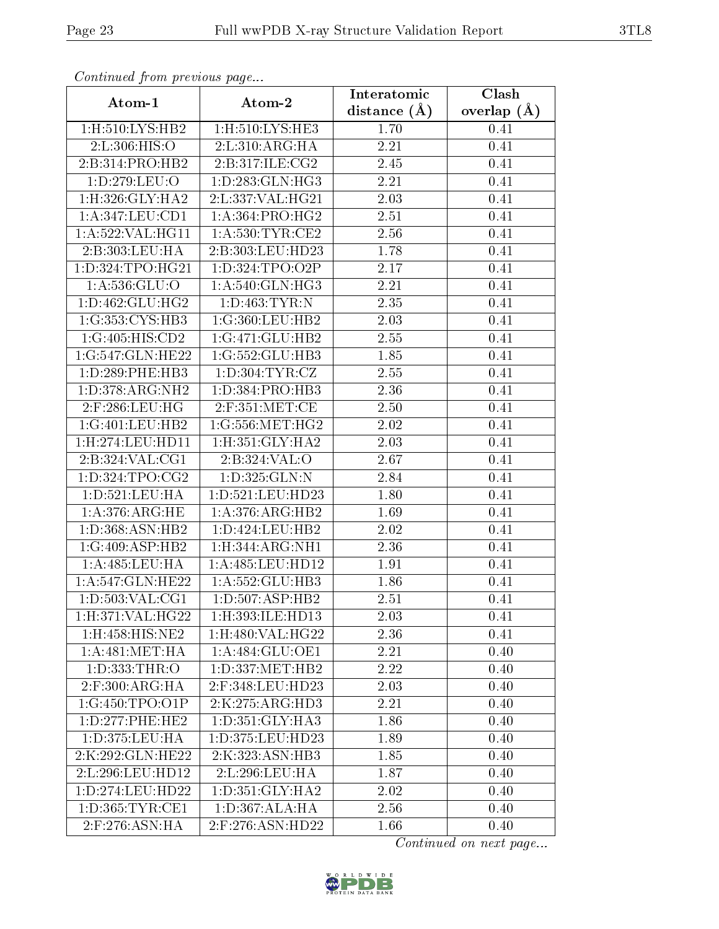| Continued from previous page   |                                 | Interatomic    | Clash           |
|--------------------------------|---------------------------------|----------------|-----------------|
| Atom-1                         | Atom-2                          | distance $(A)$ | overlap $(\AA)$ |
| $1:$ H $:510:$ LYS:HB2         | $1:$ H $:510:LYS:$ HE3          | 1.70           | 0.41            |
| 2:L:306:HIS:O                  | 2: L:310: ARG: HA               | 2.21           | 0.41            |
| 2:B:314:PRO:HB2                | 2: B:317: ILE: CG2              | 2.45           | 0.41            |
| 1:D:279:LEU:O                  | 1: D: 283: GLN: HG3             | 2.21           | 0.41            |
| 1:H:326:GLY:HA2                | 2:L:337:VAL:HG21                | 2.03           | 0.41            |
| 1: A:347:LEU:CD1               | 1: A: 364: PRO:HG2              | 2.51           | 0.41            |
| 1: A:522: VAL:HG11             | 1: A:530:TYR:CE2                | 2.56           | 0.41            |
| 2:B:303:LEU:HA                 | 2:B:303:LEU:HD23                | 1.78           | 0.41            |
| 1:D:324:TPO:HG21               | 1: D: 324: TPO: O2P             | 2.17           | 0.41            |
| 1:A:536:GLU:O                  | 1: A:540: GLN: HG3              | 2.21           | 0.41            |
| 1: D: 462: GLU: HG2            | 1: D: 463: TYR: N               | 2.35           | 0.41            |
| 1:G:353:CYS:HB3                | 1:G:360:LEU:HB2                 | 2.03           | 0.41            |
| 1:G:405:HIS:CD2                | 1:G:471:GLU:HB2                 | 2.55           | 0.41            |
| 1:G:547:GLN:HE22               | 1:G:552:GLU:HB3                 | 1.85           | 0.41            |
| 1:D:289:PHE:HB3                | 1: D: 304: TYR: CZ              | 2.55           | 0.41            |
| 1: D: 378: ARG: NH2            | 1: D: 384: PRO: HB3             | 2.36           | 0.41            |
| 2:F:286:LEU:HG                 | $2:$ F:351:MET:CE               | 2.50           | 0.41            |
| 1:G:401:LEU:HB2                | 1:G:556:MET:HG2                 | 2.02           | 0.41            |
| 1:H:274:LEU:HD11               | 1:H:351:GLY:HA2                 | 2.03           | 0.41            |
| $2:B:324:VAL: \widetilde{CG1}$ | 2:B:324:VAL:O                   | 2.67           | 0.41            |
| 1: D: 324: TPO: CG2            | 1:D:325:GLN:N                   | 2.84           | 0.41            |
| 1:D:521:LEU:HA                 | 1: D: 521: LEU: HD23            | 1.80           | 0.41            |
| 1: A:376:ARG:HE                | 1: A:376:ARG:HB2                | 1.69           | 0.41            |
| 1:D:368:ASN:HB2                | 1: D: 424: LEU: HB2             | 2.02           | 0.41            |
| 1:G:409:ASP:HB2                | 1: H:344: ARG: NH1              | 2.36           | 0.41            |
| 1:A:485:LEU:HA                 | 1:A:485:LEU:HD12                | 1.91           | 0.41            |
| 1:A:547:GLN:HE22               | 1:A:552:GLU:HB3                 | 1.86           | 0.41            |
| 1: D: 503: VAL: CG1            | 1:D:507:ASP:HB2                 | 2.51           | 0.41            |
| 1:H:371:VAL:HG22               | 1:H:393:ILE:HD13                | 2.03           | 0.41            |
| 1:H:458:HIS:NE2                | 1:H:480:VAL:HG22                | 2.36           | 0.41            |
| 1: A:481: MET:HA               | 1:A:484:GLU:OE1                 | 2.21           | 0.40            |
| 1:D:333:THR:O                  | 1: D: 337: MET: HB2             | 2.22           | 0.40            |
| $2:$ F:300:ARG:HA              | 2:F:348:LEU:HD23                | 2.03           | 0.40            |
| 1:G:450:TPO:O1P                | 2:K:275:ARG:HD3                 | 2.21           | 0.40            |
| 1:D:277:PHE:HE2                | 1: D:351: GLY:HA3               | 1.86           | 0.40            |
| 1:D:375:LEU:HA                 | 1:D:375:LEU:HD23                | 1.89           | 0.40            |
| 2:K:292:GLN:HE22               | 2:K:323:ASN:HB3                 | 1.85           | 0.40            |
| 2:L:296:LEU:HD12               | 2:L:296:LEU:HA                  | 1.87           | 0.40            |
| 1:D:274:LEU:HD22               | $1: D:351: GLY: H\overline{A2}$ | 2.02           | 0.40            |
| 1: D: 365: TYR: CE1            | 1: D: 367: ALA: HA              | 2.56           | 0.40            |
| $2:$ F:276:ASN:HA              | 2:F:276:ASN:HD22                | 1.66           | 0.40            |

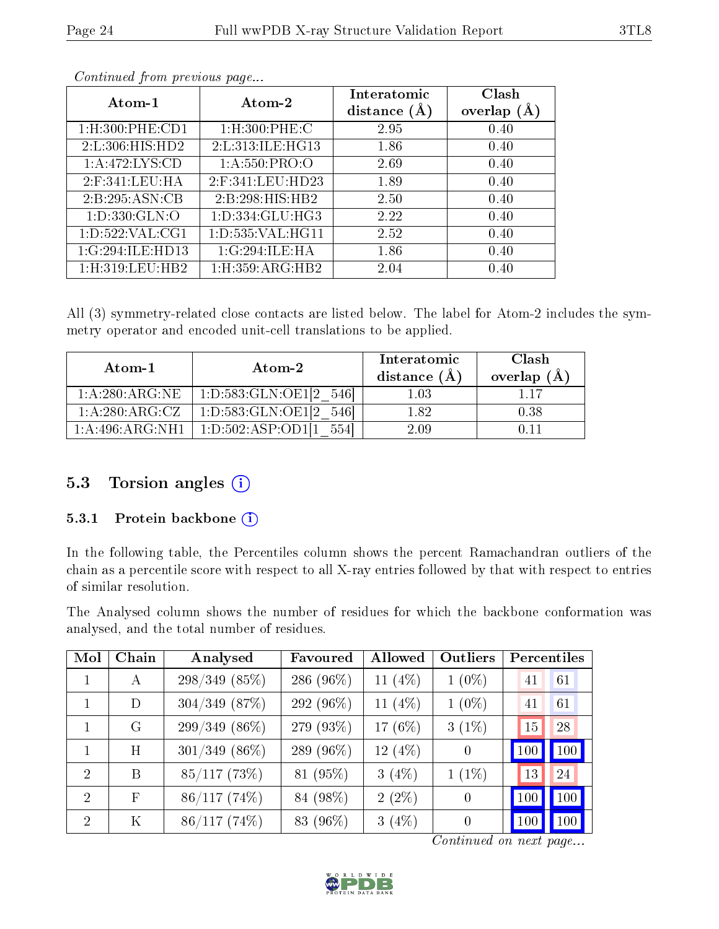| Atom-1                        | Atom-2                   | Interatomic<br>distance $(A)$ | Clash<br>(A,<br>overlap |
|-------------------------------|--------------------------|-------------------------------|-------------------------|
| $1:$ H $:300:$ PHE $:$ CD $1$ | $1:$ H $:300:$ PHE $:$ C | 2.95                          | 0.40                    |
| 2: L:306: HIS: HD2            | 2:L:313:ILE:HG13         | 1.86                          | 0.40                    |
| 1: A:472: LYS:CD              | 1: A:550:PRO:O           | 2.69                          | 0.40                    |
| $2:$ F:341:LEU:HA             | $2:$ F:341:LEU:HD23      | 1.89                          | 0.40                    |
| 2:B:295:ASN:CB                | 2:B:298:HIS:HB2          | 2.50                          | 0.40                    |
| 1: D: 330: GLN:O              | 1:D:334:GLU:HG3          | 2.22                          | 0.40                    |
| 1: D: 522: VAL: CG1           | 1: D: 535: VAL: HG11     | 2.52                          | 0.40                    |
| 1:G:294:ILE:HD13              | 1:G:294:ILE:HA           | 1.86                          | 0.40                    |
| 1:H:319:LEU:HB2               | 1: H: 359: ARG: HB2      | 2.04                          | 0.40                    |

All (3) symmetry-related close contacts are listed below. The label for Atom-2 includes the symmetry operator and encoded unit-cell translations to be applied.

| Atom-1            | Atom-2                         | Interatomic<br>distance $(A)$ | Clash<br>overlap $(\AA)$ |
|-------------------|--------------------------------|-------------------------------|--------------------------|
| 1: A:280: ARG:NE  | 1:D:583:GLN:OE1[2 546]         | 1.03                          | 117                      |
| 1: A:280:ARG:CZ   | 1: D: 583: GLN: OE1[2]<br>5461 | 182                           | 0.38                     |
| 1: A:496: ARG:NH1 | 1:D:502:ASP:OD1                | 2.09                          |                          |

#### 5.3 Torsion angles (i)

#### 5.3.1 Protein backbone (i)

In the following table, the Percentiles column shows the percent Ramachandran outliers of the chain as a percentile score with respect to all X-ray entries followed by that with respect to entries of similar resolution.

The Analysed column shows the number of residues for which the backbone conformation was analysed, and the total number of residues.

| Mol                         | Chain | Analysed        | Favoured   | Allowed    | Outliers |     | Percentiles |
|-----------------------------|-------|-----------------|------------|------------|----------|-----|-------------|
|                             | A     | $298/349(85\%)$ | 286 (96\%) | 11 $(4%)$  | $1(0\%)$ | 41  | 61          |
| 1                           | D     | $304/349$ (87%) | 292 (96%)  | 11 $(4\%)$ | $1(0\%)$ | 41  | 61          |
| 1                           | G     | $299/349(86\%)$ | 279 (93%)  | 17 (6%)    | $3(1\%)$ | 15  | 28          |
| 1                           | H     | $301/349$ (86%) | 289 (96\%) | 12 $(4%)$  | $\theta$ | 100 | 100         |
| $\mathfrak{D}$              | B     | $85/117$ (73%)  | 81 (95%)   | $3(4\%)$   | $1(1\%)$ | 13  | 24          |
| $\mathcal{D}_{\mathcal{L}}$ | F     | $86/117(74\%)$  | 84 (98%)   | $2(2\%)$   | $\theta$ | 100 | 100         |
| $\overline{2}$              | Κ     | $86/117(74\%)$  | 83 (96%)   | $3(4\%)$   | $\theta$ | 100 | 100         |

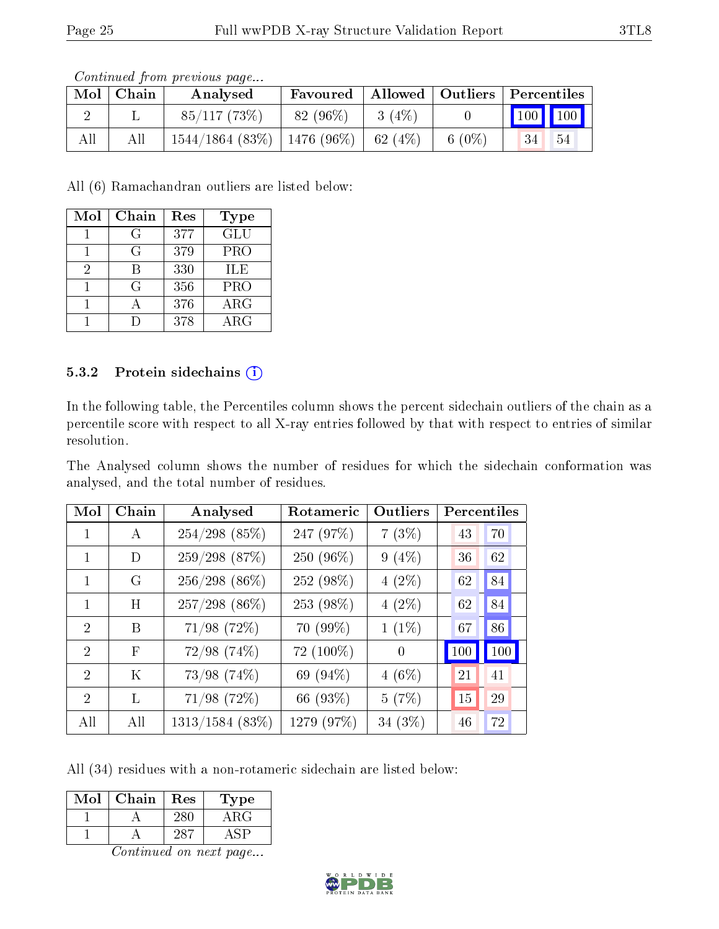| Mol | Chain | Analysed                                    | Favoured   Allowed   Outliers   Percentiles |       |           |                             |  |
|-----|-------|---------------------------------------------|---------------------------------------------|-------|-----------|-----------------------------|--|
|     |       | 85/117(73%)                                 | 82 (96\%)                                   | 3(4%) |           | $\boxed{100}$ $\boxed{100}$ |  |
| All | All   | $1544/1864$ (83\%)   1476 (96\%)   62 (4\%) |                                             |       | 6 $(0\%)$ | 34<br>54                    |  |

All (6) Ramachandran outliers are listed below:

| Mol | Chain | Res | Type       |
|-----|-------|-----|------------|
|     | G     | 377 | GLU        |
|     | G     | 379 | <b>PRO</b> |
| 2   | R     | 330 | ILE        |
|     | G     | 356 | PRO        |
|     |       | 376 | ARG        |
|     |       | 378 | ARG        |

#### 5.3.2 Protein sidechains (i)

In the following table, the Percentiles column shows the percent sidechain outliers of the chain as a percentile score with respect to all X-ray entries followed by that with respect to entries of similar resolution.

The Analysed column shows the number of residues for which the sidechain conformation was analysed, and the total number of residues.

| Mol                         | Chain      | Analysed          | Rotameric  | Outliers | Percentiles |     |
|-----------------------------|------------|-------------------|------------|----------|-------------|-----|
| 1                           | A          | $254/298$ (85%)   | 247 (97%)  | 7(3%)    | 43          | 70  |
| 1                           | D          | $259/298$ (87%)   | 250 (96%)  | $9(4\%)$ | 36          | 62  |
| 1                           | G          | $256/298(86\%)$   | 252 (98%)  | $4(2\%)$ | 62          | 84  |
| 1                           | H          | 257/298 (86%)     | 253 (98%)  | $4(2\%)$ | 62          | 84  |
| $\mathcal{D}_{\mathcal{L}}$ | B          | $71/98$ $(72\%)$  | 70 (99%)   | $1(1\%)$ | 67          | 86  |
| $\overline{2}$              | $_{\rm F}$ | $72/98$ $(74\%)$  | 72 (100%)  | $\theta$ | 100         | 100 |
| $\mathcal{D}$               | Κ          | $73/98$ $(74\%)$  | 69 (94%)   | $4(6\%)$ | 21          | 41  |
| $\mathcal{D}_{\mathcal{A}}$ | L          | $71/98$ $(72\%)$  | 66 (93%)   | 5(7%)    | 15          | 29  |
| All                         | All        | $1313/1584$ (83%) | 1279 (97%) | 34 (3%)  | 46          | 72  |

All (34) residues with a non-rotameric sidechain are listed below:

| Mol | Chain | Res | Type                |
|-----|-------|-----|---------------------|
|     |       |     | $\Delta$ R ( $\div$ |
|     |       |     |                     |

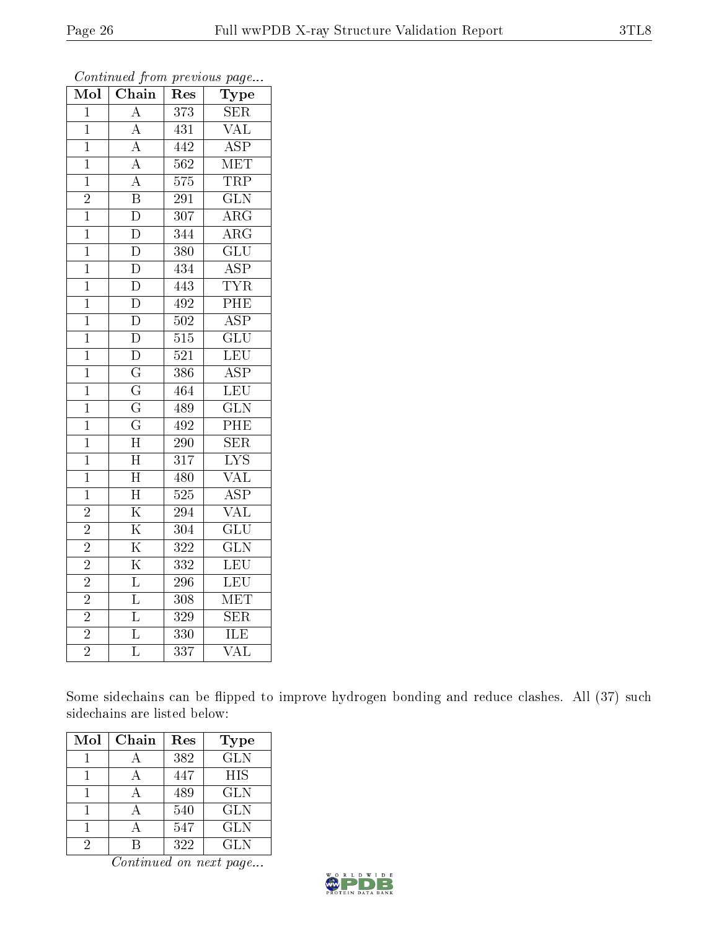| Mol            | Chain                   | Res              | Type                    |
|----------------|-------------------------|------------------|-------------------------|
| $\overline{1}$ | $\overline{\rm A}$      | 373              | <b>SER</b>              |
| $\overline{1}$ | $\overline{A}$          | 431              | $\overline{\text{VAL}}$ |
| $\overline{1}$ | $\overline{A}$          | 442              | $\overline{\text{ASP}}$ |
| $\mathbf 1$    | $\overline{A}$          | 562              | MET                     |
| $\overline{1}$ | $\overline{A}$          | $\overline{575}$ | $\overline{\text{TRP}}$ |
| $\overline{2}$ | $\overline{\mathbf{B}}$ | 291              | $\overline{\text{GLN}}$ |
| $\mathbf{1}$   | $\overline{\rm D}$      | 307              | $\overline{\rm{ARG}}$   |
| $\mathbf 1$    | $\overline{\rm D}$      | 344              | $\overline{\rm{ARG}}$   |
| $\overline{1}$ | $\overline{\rm D}$      | 380              | $\overline{{\rm GLU}}$  |
| $\mathbf{1}$   | $\overline{\rm D}$      | 434              | $\overline{\text{ASP}}$ |
| $\overline{1}$ | $\overline{\rm D}$      | 443              | <b>TYR</b>              |
| $\overline{1}$ | $\overline{\rm D}$      | 492              | PHE                     |
| $\overline{1}$ | $\overline{\rm D}$      | 502              | $\overline{\text{ASP}}$ |
| $\mathbf{1}$   | $\overline{\rm D}$      | 515              | $\overline{{\rm GLU}}$  |
| $\mathbf{1}$   | $\overline{\rm D}$      | 521              | $\overline{\text{LEU}}$ |
| $\mathbf{1}$   | $\overline{\mathrm{G}}$ | 386              | $\overline{\text{ASP}}$ |
| $\overline{1}$ | $\overline{\mathrm{G}}$ | 464              | LEU                     |
| $\mathbf{1}$   | $\overline{G}$          | 489              | $\overline{\text{GLN}}$ |
| $\overline{1}$ | $\overline{\mathrm{G}}$ | 492              | $\overline{\rm PHE}$    |
| $\overline{1}$ | $\overline{\rm H}$      | 290              | $\overline{\text{SER}}$ |
| $\overline{1}$ | $\overline{\rm H}$      | 317              | $\overline{\text{LYS}}$ |
| $\overline{1}$ | $\overline{\text{H}}$   | 480              | VAL                     |
| $\mathbf{1}$   | $\overline{\rm H}$      | $\overline{525}$ | $\overline{\text{ASP}}$ |
| $\overline{2}$ | $\overline{\mathrm{K}}$ | 294              | $\overline{\text{VAL}}$ |
| $\overline{2}$ | $\overline{\mathrm{K}}$ | 304              | $\overline{\text{GLU}}$ |
| $\frac{2}{2}$  | $\overline{\mathrm{K}}$ | 322              | $\overline{\text{GLN}}$ |
|                | $\overline{\mathrm{K}}$ | 332              | $\overline{\text{LEU}}$ |
| $\overline{2}$ | $\overline{\mathrm{L}}$ | $\overline{296}$ | $\overline{\text{LEU}}$ |
| $\overline{2}$ | $\overline{\mathrm{L}}$ | 308              | $\overline{\text{MET}}$ |
| $\overline{2}$ | $\overline{\mathrm{L}}$ | 329              | $\overline{\text{SER}}$ |
| $\overline{2}$ | $\overline{\mathrm{L}}$ | 330              | ILE                     |
| $\overline{2}$ | $\overline{\mathrm{L}}$ | 337              | $\overline{\text{VAL}}$ |

Some sidechains can be flipped to improve hydrogen bonding and reduce clashes. All (37) such sidechains are listed below:

| Mol | Chain | Res | Type       |
|-----|-------|-----|------------|
|     |       | 382 | <b>GLN</b> |
|     |       | 447 | <b>HIS</b> |
|     |       | 489 | GLN        |
|     |       | 540 | <b>GLN</b> |
|     |       | 547 | <b>GLN</b> |
|     |       | 322 | GL N       |

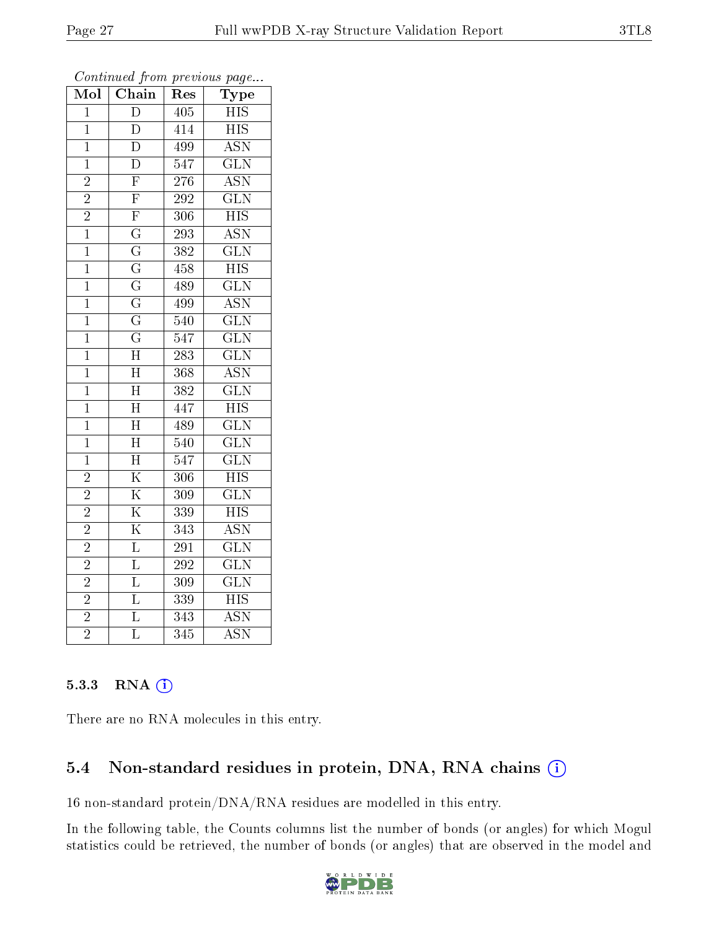| $\overline{\text{Mol}}$ | $\overline{\text{Chain}}$ | Res              | Type                      |
|-------------------------|---------------------------|------------------|---------------------------|
| $\mathbf{1}$            | $\overline{\rm D}$        | $\overline{405}$ | <b>HIS</b>                |
| $\mathbf 1$             | D                         | 414              | <b>HIS</b>                |
| $\overline{1}$          | $\overline{\rm D}$        | 499              | $\overline{\text{ASN}}$   |
| $\overline{1}$          | $\overline{\rm D}$        | 547              | $\overline{\text{GLN}}$   |
| $\overline{2}$          | $\overline{\mathrm{F}}$   | $\overline{276}$ | $\overline{\text{ASN}}$   |
| $\overline{2}$          | $\overline{\mathrm{F}}$   | 292              | $\overline{\text{GLN}}$   |
| $\overline{2}$          | $\overline{F}$            | 306              | $\overline{HIS}$          |
| $\overline{1}$          | $\overline{\mathrm{G}}$   | $\overline{293}$ | <b>ASN</b>                |
| $\overline{1}$          | $\overline{\mathrm{G}}$   | 382              | $\overline{\text{GLN}}$   |
| $\overline{1}$          | $\overline{\mathrm{G}}$   | 458              | $\overline{\text{HIS}}$   |
| $\mathbf{1}$            | $\overline{\mathrm{G}}$   | 489              | $\overline{\text{GLN}}$   |
| $\overline{1}$          | $\overline{\mathrm{G}}$   | $\overline{499}$ | $\overline{\mathrm{ASN}}$ |
| $\overline{1}$          | $\overline{\mathrm{G}}$   | $\overline{540}$ | $\overline{\text{GLN}}$   |
| $\mathbf{1}$            | $\overline{\mathrm{G}}$   | 547              | $\overline{\text{GLN}}$   |
| $\mathbf 1$             | $\overline{\rm H}$        | 283              | $\overline{\text{GLN}}$   |
| $\overline{1}$          | $\overline{\rm H}$        | 368              | $\overline{\mathrm{ASN}}$ |
| $\overline{1}$          | $\overline{\rm H}$        | $\overline{382}$ | $\overline{\text{GLN}}$   |
| $\mathbf 1$             | $\overline{\rm H}$        | 447              | $\overline{\text{HIS}}$   |
| $\overline{1}$          | $\overline{\rm H}$        | 489              | $\overline{\text{GLN}}$   |
| $\overline{1}$          | $\overline{\rm H}$        | $\overline{540}$ | $\overline{\text{GLN}}$   |
| $\mathbf 1$             | $\overline{\rm H}$        | 547              | $\overline{\text{GLN}}$   |
| $\overline{2}$          | $\overline{\mathrm{K}}$   | 306              | $\overline{HIS}$          |
| $\overline{2}$          | $\overline{\mathrm{K}}$   | 309              | $\overline{\text{GLN}}$   |
| $\overline{2}$          | $\overline{\mathrm{K}}$   | 339              | $\overline{\mathrm{HIS}}$ |
| $\overline{2}$          | $\overline{\mathrm{K}}$   | 343              | <b>ASN</b>                |
| $\overline{2}$          | $\overline{\mathrm{L}}$   | $\overline{291}$ | $\overline{\text{GLN}}$   |
| $\overline{2}$          | $\overline{\mathrm{L}}$   | 292              | $\overline{\text{GLN}}$   |
| $\overline{2}$          | $\overline{\mathrm{L}}$   | 309              | $\overline{\text{GLN}}$   |
| $\overline{2}$          | $\overline{L}$            | 339              | $\overline{\mathrm{HIS}}$ |
| $\overline{2}$          | $\overline{\mathrm{L}}$   | 343              | <b>ASN</b>                |
| $\overline{2}$          | $\overline{\mathrm{L}}$   | $\overline{3}45$ | $\overline{\rm ASN}$      |

#### 5.3.3 RNA [O](https://www.wwpdb.org/validation/2017/XrayValidationReportHelp#rna)i

There are no RNA molecules in this entry.

#### 5.4 Non-standard residues in protein, DNA, RNA chains (i)

16 non-standard protein/DNA/RNA residues are modelled in this entry.

In the following table, the Counts columns list the number of bonds (or angles) for which Mogul statistics could be retrieved, the number of bonds (or angles) that are observed in the model and

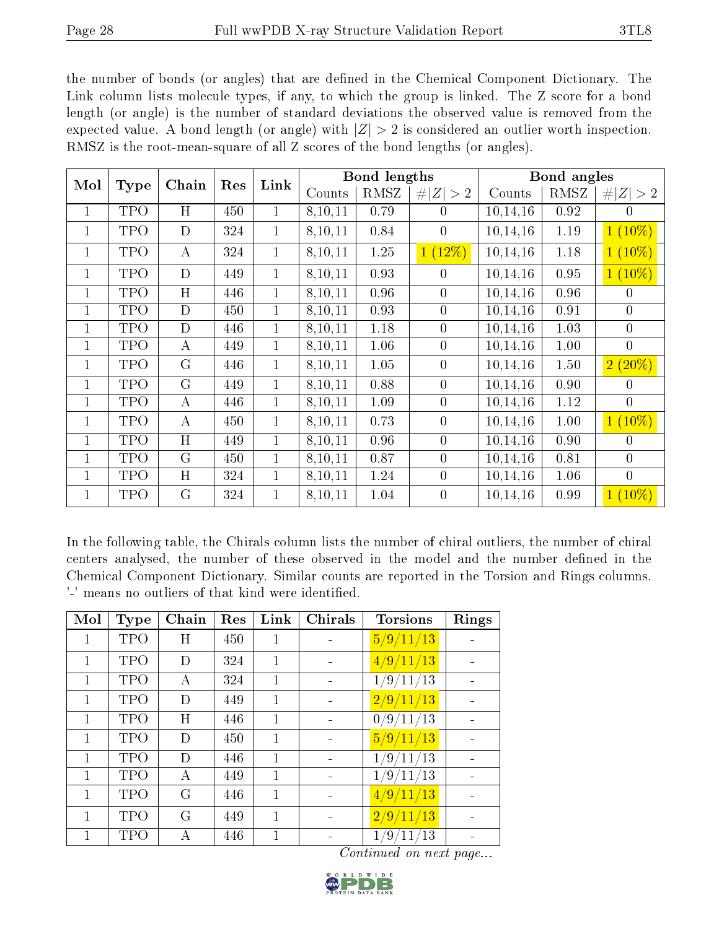the number of bonds (or angles) that are defined in the Chemical Component Dictionary. The Link column lists molecule types, if any, to which the group is linked. The Z score for a bond length (or angle) is the number of standard deviations the observed value is removed from the expected value. A bond length (or angle) with  $|Z| > 2$  is considered an outlier worth inspection. RMSZ is the root-mean-square of all Z scores of the bond lengths (or angles).

| Mol          | Type       | Chain          | Res | Link         |         | <b>Bond lengths</b> |                  |                         | <b>Bond</b> angles |                  |
|--------------|------------|----------------|-----|--------------|---------|---------------------|------------------|-------------------------|--------------------|------------------|
|              |            |                |     |              | Counts  | <b>RMSZ</b>         | Z   > 2          | Counts                  | RMSZ               | Z   > 2          |
| 1            | TPO        | H              | 450 | $\mathbf 1$  | 8,10,11 | 0.79                | $\overline{0}$   | 10, 14, 16              | 0.92               | $\theta$         |
| $\mathbf{1}$ | <b>TPO</b> | $\mathbf D$    | 324 | $\mathbf 1$  | 8,10,11 | 0.84                | $\overline{0}$   | 10,14,16                | 1.19               | $1(10\%)$        |
| 1            | <b>TPO</b> | $\bf{A}$       | 324 | $\mathbf{1}$ | 8,10,11 | 1.25                | $1(12\%)$        | 10,14,16                | 1.18               | $1(10\%)$        |
| $\mathbf{1}$ | <b>TPO</b> | D              | 449 | $\mathbf 1$  | 8,10,11 | 0.93                | 0                | 10,14,16                | 0.95               | $1(10\%)$        |
| $\mathbf{1}$ | <b>TPO</b> | H              | 446 | $\mathbf 1$  | 8,10,11 | 0.96                | $\overline{0}$   | 10, 14, 16              | 0.96               | $\overline{0}$   |
| 1            | <b>TPO</b> | D              | 450 | $\mathbf{1}$ | 8,10,11 | 0.93                | $\overline{0}$   | 10,14,16                | 0.91               | $\boldsymbol{0}$ |
| 1            | TPO        | D              | 446 | $\mathbf 1$  | 8,10,11 | 1.18                | $\overline{0}$   | 10,14,16                | 1.03               | $\boldsymbol{0}$ |
| $\mathbf{1}$ | TPO        | $\bf{A}$       | 449 | $\mathbf{1}$ | 8,10,11 | 1.06                | $\overline{0}$   | 10,14,16                | 1.00               | $\boldsymbol{0}$ |
| $\mathbf{1}$ | <b>TPO</b> | G              | 446 | $\mathbf 1$  | 8,10,11 | 1.05                | $\boldsymbol{0}$ | 10,14,16                | 1.50               | $2(20\%)$        |
| $\mathbf{1}$ | <b>TPO</b> | G              | 449 | $\mathbf 1$  | 8,10,11 | 0.88                | $\overline{0}$   | 10, 14, 16              | 0.90               | $\overline{0}$   |
| $\mathbf{1}$ | TPO        | $\bf{A}$       | 446 | $\mathbf 1$  | 8,10,11 | 1.09                | $\overline{0}$   | 10,14,16                | 1.12               | $\overline{0}$   |
| $\mathbf{1}$ | TPO        | $\bf{A}$       | 450 | $\mathbf 1$  | 8,10,11 | 0.73                | $\overline{0}$   | 10,14,16                | 1.00               | $1(10\%)$        |
| $\mathbf{1}$ | <b>TPO</b> | $\overline{H}$ | 449 | $\mathbf 1$  | 8,10,11 | 0.96                | $\overline{0}$   | 10, 14, 16              | 0.90               | $\overline{0}$   |
| $\mathbf{1}$ | TPO        | $\mathbf G$    | 450 | $\mathbf{1}$ | 8,10,11 | 0.87                | $\overline{0}$   | 10,14,16                | 0.81               | $\overline{0}$   |
| 1            | TPO        | H              | 324 | $\mathbf{1}$ | 8,10,11 | 1.24                | $\overline{0}$   | $\overline{10}, 14, 16$ | 1.06               | $\overline{0}$   |
| $\mathbf{1}$ | <b>TPO</b> | $\mathbf G$    | 324 | $\mathbf{1}$ | 8,10,11 | 1.04                | $\overline{0}$   | 10,14,16                | 0.99               | $1(10\%)$        |

In the following table, the Chirals column lists the number of chiral outliers, the number of chiral centers analysed, the number of these observed in the model and the number defined in the Chemical Component Dictionary. Similar counts are reported in the Torsion and Rings columns. '-' means no outliers of that kind were identified.

| Mol          | <b>Type</b> | Chain | Res | Link         | <b>Chirals</b> | <b>Torsions</b> | Rings |
|--------------|-------------|-------|-----|--------------|----------------|-----------------|-------|
| 1            | <b>TPO</b>  | Η     | 450 | 1            |                | 5/9/11/13       |       |
| $\mathbf{1}$ | <b>TPO</b>  | D     | 324 | $\mathbf{1}$ |                | 4/9/11/13       |       |
|              | <b>TPO</b>  | А     | 324 | 1            |                | 1/9/11/13       |       |
| 1            | <b>TPO</b>  | D     | 449 | $\mathbf{1}$ |                | 2/9/11/13       |       |
| $\mathbf{1}$ | <b>TPO</b>  | Η     | 446 | 1            |                | 0/9/11/13       |       |
| $\mathbf{1}$ | <b>TPO</b>  | D     | 450 | $\mathbf{1}$ |                | 5/9/11/13       |       |
| $\mathbf{1}$ | <b>TPO</b>  | D     | 446 | 1            |                | 1/9/11/13       |       |
|              | <b>TPO</b>  | А     | 449 | 1            |                | 1/9/11/13       |       |
| 1            | <b>TPO</b>  | G     | 446 | $\mathbf{1}$ |                | 4/9/11/13       |       |
| $\mathbf{1}$ | TPO         | G     | 449 | 1            |                | 2/9/11/13       |       |
|              | TPO         | А     | 446 | 1            |                | /13<br>1/9/11   |       |

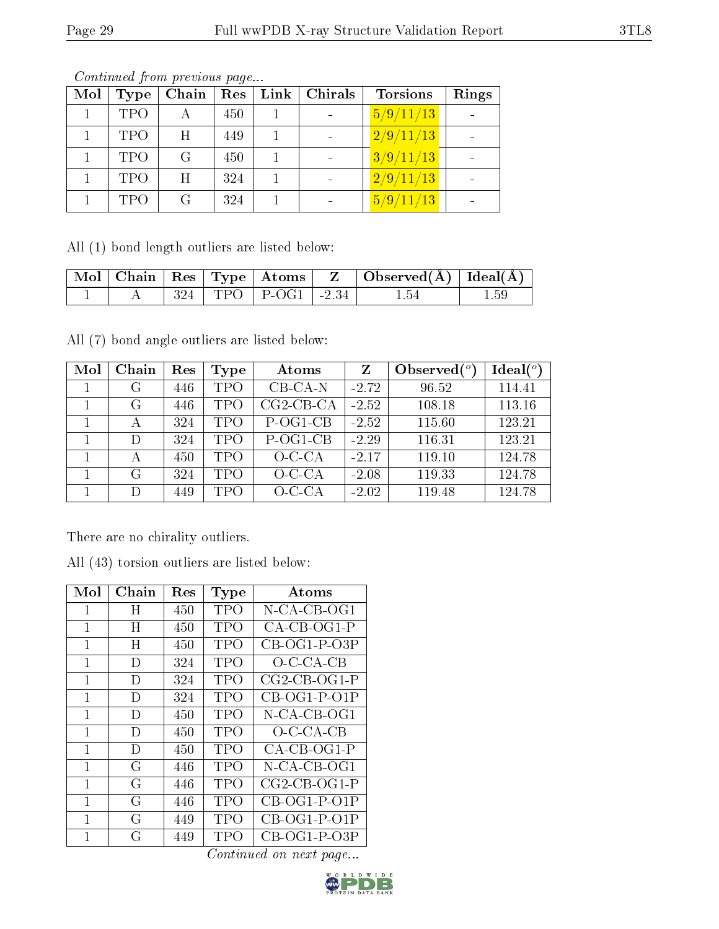| Mol | Type       | Chain | Res | Link   Chirals | <b>Torsions</b> | Rings |
|-----|------------|-------|-----|----------------|-----------------|-------|
|     | <b>TPO</b> | А     | 450 |                | 5/9/11/13       |       |
|     | <b>TPO</b> | H     | 449 |                | 2/9/11/13       |       |
|     | <b>TPO</b> | G     | 450 |                | 3/9/11/13       |       |
|     | <b>TPO</b> | H     | 324 |                | 2/9/11/13       |       |
|     | <b>TPO</b> | G     | 324 |                | 5/9/11/13       |       |

All (1) bond length outliers are listed below:

|  |  |                             | Mol   Chain   Res   Type   Atoms   Z   Observed(A)   Ideal(A) |          |
|--|--|-----------------------------|---------------------------------------------------------------|----------|
|  |  | $324$   TPO   P-OG1   -2.34 | -1.54                                                         | $1.59\,$ |

All (7) bond angle outliers are listed below:

| Mol | Chain | Res | Type       | Atoms       | Z       | Observed $(°)$ | Ideal(°) |
|-----|-------|-----|------------|-------------|---------|----------------|----------|
|     | G     | 446 | <b>TPO</b> | $CB$ -CA-N  | $-2.72$ | 96.52          | 114.41   |
|     | G     | 446 | <b>TPO</b> | $CG2-CB-CA$ | $-2.52$ | 108.18         | 113.16   |
|     | А     | 324 | <b>TPO</b> | P-OG1-CB    | $-2.52$ | 115.60         | 123.21   |
|     | D     | 324 | <b>TPO</b> | P-OG1-CB    | $-2.29$ | 116.31         | 123.21   |
|     |       | 450 | <b>TPO</b> | $O-C-CA$    | $-2.17$ | 119.10         | 124.78   |
|     | G     | 324 | <b>TPO</b> | $O-C-CA$    | $-2.08$ | 119.33         | 124.78   |
|     |       | 449 | <b>TPO</b> | $O-C-CA$    | $-2.02$ | 119.48         | 124.78   |

There are no chirality outliers.

| All (43) torsion outliers are listed below: |
|---------------------------------------------|
|---------------------------------------------|

| Mol | Chain | $\operatorname{Res}% \left( \mathcal{N}\right) \equiv\operatorname{Res}(\mathcal{N}_{0},\mathcal{N}_{0})$ | Type       | Atoms          |
|-----|-------|-----------------------------------------------------------------------------------------------------------|------------|----------------|
| 1   | Η     | 450                                                                                                       | TPO        | N-CA-CB-OG1    |
| 1   | H     | 450                                                                                                       | TPO        | CA-CB-OG1-P    |
| 1   | H     | 450                                                                                                       | TPO        | $CB-OG1-P-O3P$ |
| 1   | D     | 324                                                                                                       | TPO        | $O$ -C-CA-CB   |
| 1   | D     | 324                                                                                                       | <b>TPO</b> | $CG2-CB-OG1-P$ |
| 1   | D     | 324                                                                                                       | <b>TPO</b> | $CB-OG1-P-O1P$ |
| 1   | D     | 450                                                                                                       | TPO        | N-CA-CB-OG1    |
| 1   | D     | 450                                                                                                       | TPO        | $O$ -C-CA-CB   |
| 1   | D     | 450                                                                                                       | TPO        | CA-CB-OG1-P    |
| 1   | G     | 446                                                                                                       | TPO        | N-CA-CB-OG1    |
| 1   | G     | 446                                                                                                       | TPO        | $CG2-CB-OG1-P$ |
| 1   | G     | 446                                                                                                       | TPO        | $CB-OG1-P-O1P$ |
| 1   | G     | 449                                                                                                       | TPO        | $CB-OG1-P-O1P$ |
| 1   | G     | 449                                                                                                       | TPO        | $CB-OG1-P-O3P$ |

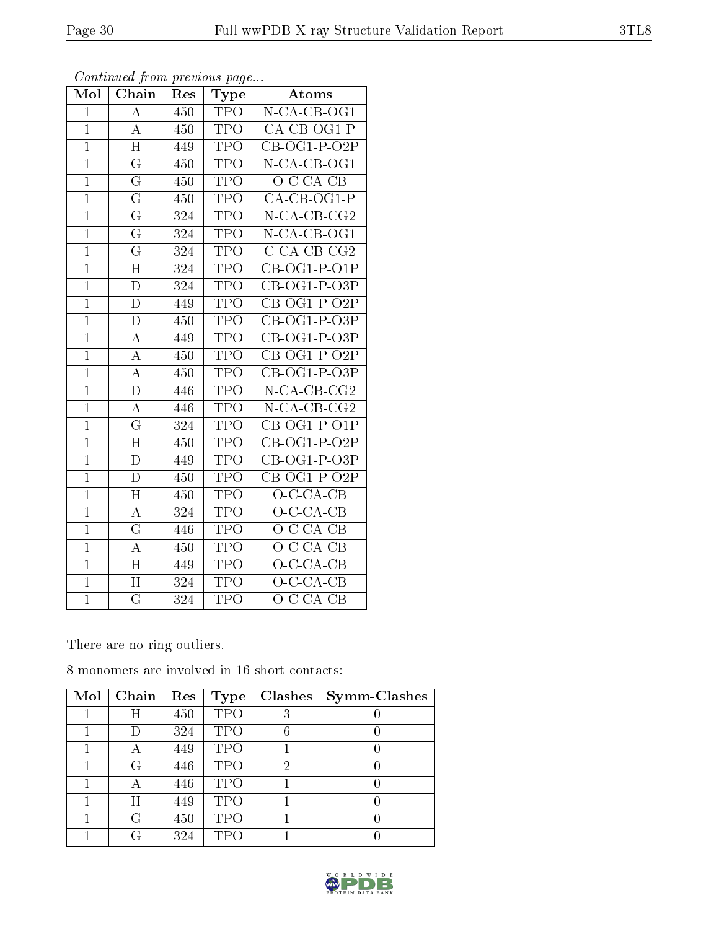| Mol            | Chain                   | Res | <b>Type</b>             | Atoms                    |
|----------------|-------------------------|-----|-------------------------|--------------------------|
| $\mathbf 1$    | $\overline{\rm A}$      | 450 | <b>TPO</b>              | $N$ -CA-CB-OG1           |
| $\mathbf{1}$   | A                       | 450 | TPO                     | CA-CB-OG1-P              |
| $\overline{1}$ | H                       | 449 | TPO                     | $CB-OG1-P-O2P$           |
| $\mathbf{1}$   | $\overline{G}$          | 450 | TPO                     | N-CA-CB-OG1              |
| $\overline{1}$ | $\overline{\mathrm{G}}$ | 450 | $\overline{\text{TPO}}$ | $O-C-CA-CB$              |
| $\overline{1}$ | $\overline{\mathrm{G}}$ | 450 | TPO                     | CA-CB-OG1-P              |
| $\overline{1}$ | $\overline{\mathrm{G}}$ | 324 | TPO                     | $N$ -CA-CB-CG2           |
| $\mathbf{1}$   | $\overline{\mathrm{G}}$ | 324 | <b>TPO</b>              | $N$ -CA-CB-OG1           |
| $\overline{1}$ | $\overline{\mathrm{G}}$ | 324 | <b>TPO</b>              | $\overline{C-CA-CB-CG2}$ |
| $\mathbf{1}$   | $\overline{\rm H}$      | 324 | <b>TPO</b>              | $CB-OG1-P-O1P$           |
| $\mathbf{1}$   | $\mathbf{D}$            | 324 | TPO                     | CB-OG1-P-O3P             |
| $\mathbf{1}$   | $\overline{\rm D}$      | 449 | <b>TPO</b>              | $CB-OG1-P-O2P$           |
| $\overline{1}$ | $\mathbf{D}$            | 450 | TPO                     | CB-OG1-P-O3P             |
| $\mathbf{1}$   | $\overline{\rm A}$      | 449 | TPO                     | CB-OG1-P-O3P             |
| $\overline{1}$ | $\overline{\rm A}$      | 450 | <b>TPO</b>              | $CB-OG1-P-O2P$           |
| $\overline{1}$ | $\boldsymbol{A}$        | 450 | TPO                     | CB-OG1-P-O3P             |
| $\mathbf{1}$   | $\overline{\rm D}$      | 446 | <b>TPO</b>              | $N$ -CA-CB-CG2           |
| $\mathbf{1}$   | $\overline{\rm A}$      | 446 | TPO                     | N-CA-CB-CG2              |
| $\overline{1}$ | $\overline{\mathrm{G}}$ | 324 | <b>TPO</b>              | $CB-OG1-P-O1P$           |
| $\overline{1}$ | $\overline{\mathrm{H}}$ | 450 | <b>TPO</b>              | $CB-OG1-P-O2P$           |
| $\overline{1}$ | D                       | 449 | <b>TPO</b>              | CB-OG1-P-O3P             |
| $\overline{1}$ | $\overline{\rm D}$      | 450 | <b>TPO</b>              | $CB-OG1-P-O2P$           |
| $\overline{1}$ | $\overline{H}$          | 450 | <b>TPO</b>              | $O$ -C-CA-CB             |
| $\mathbf{1}$   | $\overline{\rm A}$      | 324 | <b>TPO</b>              | $O-C-CA-CB$              |
| $\overline{1}$ | $\overline{G}$          | 446 | TPO                     | $O-C-CA-CB$              |
| $\mathbf 1$    | $\boldsymbol{A}$        | 450 | TPO                     | $O$ -C-CA-CB             |
| $\overline{1}$ | $\overline{\rm H}$      | 449 | <b>TPO</b>              | $O-C-CA-CB$              |
| $\mathbf{1}$   | $\mathbf H$             | 324 | TPO                     | $O-C-CA-CB$              |
| $\overline{1}$ | $\overline{\mathrm{G}}$ | 324 | <b>TPO</b>              | $O-C-CA-CB$              |

There are no ring outliers.

8 monomers are involved in 16 short contacts:

| Mol | Chain | Res | Type       | <b>Clashes</b> | Symm-Clashes |
|-----|-------|-----|------------|----------------|--------------|
|     | Η     | 450 | <b>TPO</b> | 3              |              |
|     |       | 324 | <b>TPO</b> | 6              |              |
|     | А     | 449 | <b>TPO</b> |                |              |
|     | G     | 446 | <b>TPO</b> | 2              |              |
|     |       | 446 | <b>TPO</b> |                |              |
|     | Η     | 449 | <b>TPO</b> |                |              |
|     | G     | 450 | <b>TPO</b> |                |              |
|     | G     | 324 | TPO        |                |              |

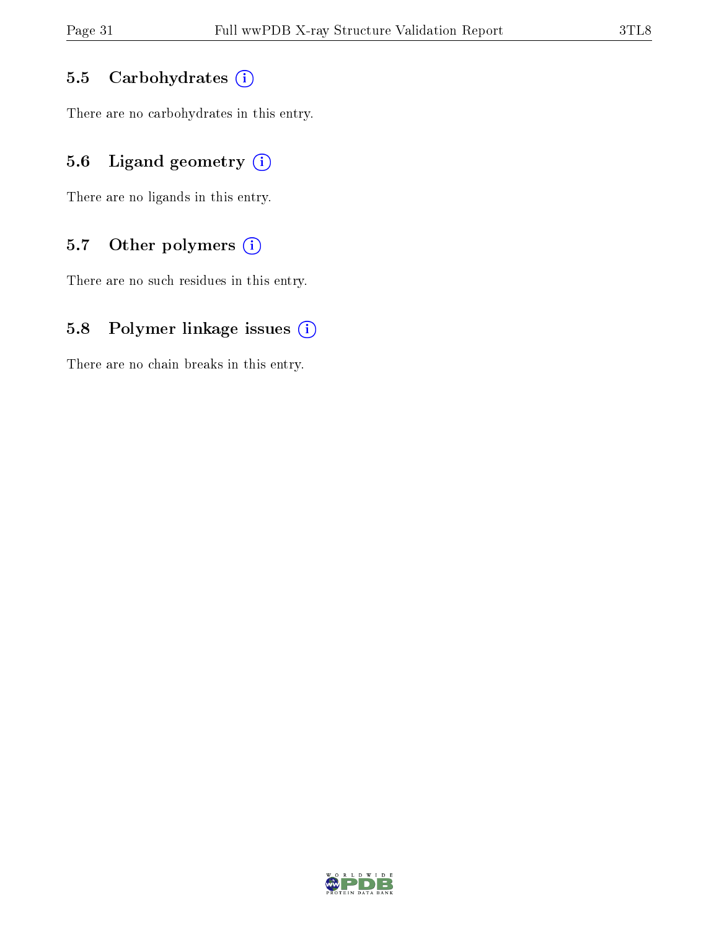#### 5.5 Carbohydrates (i)

There are no carbohydrates in this entry.

#### 5.6 Ligand geometry  $(i)$

There are no ligands in this entry.

#### 5.7 [O](https://www.wwpdb.org/validation/2017/XrayValidationReportHelp#nonstandard_residues_and_ligands)ther polymers  $(i)$

There are no such residues in this entry.

#### 5.8 Polymer linkage issues  $(i)$

There are no chain breaks in this entry.

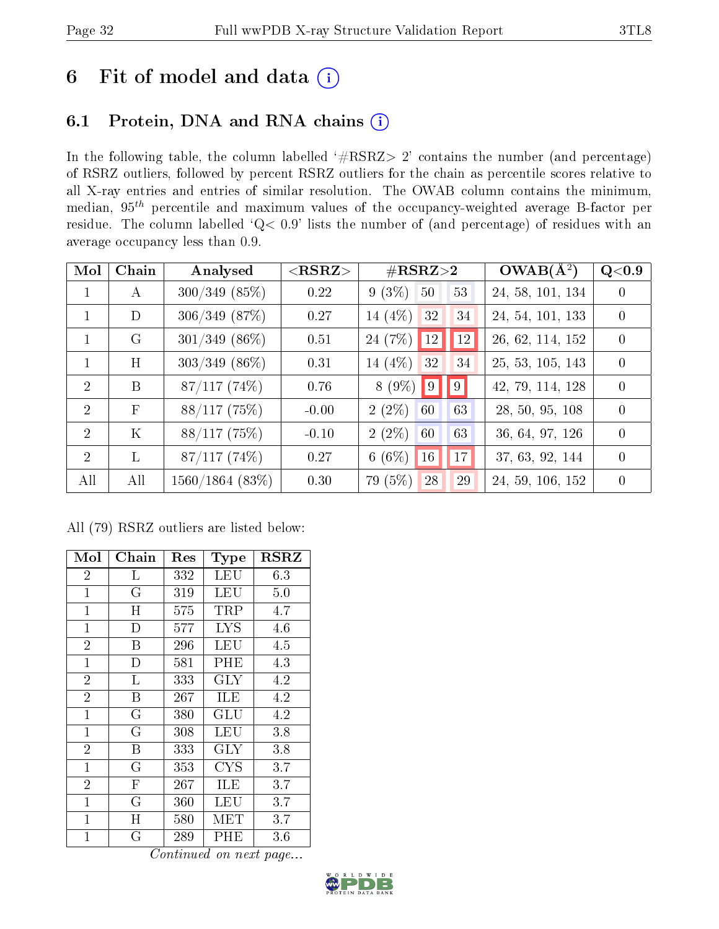### 6 Fit of model and data  $(i)$

### 6.1 Protein, DNA and RNA chains  $(i)$

In the following table, the column labelled  $#RSRZ> 2'$  contains the number (and percentage) of RSRZ outliers, followed by percent RSRZ outliers for the chain as percentile scores relative to all X-ray entries and entries of similar resolution. The OWAB column contains the minimum, median,  $95<sup>th</sup>$  percentile and maximum values of the occupancy-weighted average B-factor per residue. The column labelled ' $Q< 0.9$ ' lists the number of (and percentage) of residues with an average occupancy less than 0.9.

| Mol            | Chain      | Analysed           | $<$ RSRZ $>$ | $\rm \#RSRZ{>}2$      | $OWAB(A^2)$      | Q <sub>0.9</sub> |
|----------------|------------|--------------------|--------------|-----------------------|------------------|------------------|
| $\mathbf{1}$   | А          | $300/349$ $(85\%)$ | 0.22         | $9(3\%)$<br>53<br>50  | 24, 58, 101, 134 | $\left( \right)$ |
| 1              | D          | $306/349$ $(87\%)$ | 0.27         | 14 $(4%)$<br>32<br>34 | 24, 54, 101, 133 | $\left( \right)$ |
|                | G          | $301/349$ (86\%)   | 0.51         | $24(7%)$ 12<br>12     | 26, 62, 114, 152 | $\Omega$         |
|                | H          | $303/349$ (86\%)   | 0.31         | 14 $(4%)$<br>32<br>34 | 25, 53, 105, 143 | $\overline{0}$   |
| $\mathcal{D}$  | B          | $87/117(74\%)$     | 0.76         | $8(9\%)$<br> 9 <br> 9 | 42, 79, 114, 128 | $\Omega$         |
| $\overline{2}$ | $_{\rm F}$ | 88/117(75%)        | $-0.00$      | $2(2\%)$<br>60<br>63  | 28, 50, 95, 108  | $\Omega$         |
| $\overline{2}$ | $\rm K$    | 88/117(75%)        | $-0.10$      | $2(2\%)$<br>60<br>63  | 36, 64, 97, 126  | $\Omega$         |
| $\overline{2}$ | L          | 87/117(74%)        | 0.27         | $6(6\%)$<br>17<br> 16 | 37, 63, 92, 144  | $\Omega$         |
| All            | All        | 1560/1864(83%)     | 0.30         | 79 (5%)<br>29<br>28   | 24, 59, 106, 152 | $\theta$         |

All (79) RSRZ outliers are listed below:

| Mol                    | Chain                   | Res | <b>Type</b> | <b>RSRZ</b> |  |  |  |  |
|------------------------|-------------------------|-----|-------------|-------------|--|--|--|--|
| $\overline{2}$         | L                       | 332 | LEU         | 6.3         |  |  |  |  |
| $\mathbf{1}$           | $\overline{G}$          | 319 | LEU         | 5.0         |  |  |  |  |
| $\mathbf{1}$           | H                       | 575 | TRP         | 4.7         |  |  |  |  |
| $\mathbf{1}$           | $\mathbf{D}$            | 577 | <b>LYS</b>  | 4.6         |  |  |  |  |
| $\overline{2}$         | B                       | 296 | LEU         | 4.5         |  |  |  |  |
| $\mathbf{1}$           | D                       | 581 | PHE         | 4.3         |  |  |  |  |
| $\overline{2}$         | L                       | 333 | <b>GLY</b>  | 4.2         |  |  |  |  |
| $\overline{2}$         | B                       | 267 | ILE         | 4.2         |  |  |  |  |
| $\mathbf{1}$           | $\overline{G}$          | 380 | GLU         | 4.2         |  |  |  |  |
| $\mathbf{1}$           | $\overline{\mathrm{G}}$ | 308 | <b>LEU</b>  | 3.8         |  |  |  |  |
| $\overline{2}$         | $\overline{B}$          | 333 | $\rm GLY$   | 3.8         |  |  |  |  |
| $\mathbf{1}$           | $\overline{G}$          | 353 | CYS         | 3.7         |  |  |  |  |
| $\overline{2}$         | $\overline{\mathrm{F}}$ | 267 | ILE         | 3.7         |  |  |  |  |
| $\mathbf{1}$           | G                       | 360 | LEU         | 3.7         |  |  |  |  |
| $\mathbf{1}$           | $\mathbf H$             | 580 | MET         | 3.7         |  |  |  |  |
| $\mathbf{1}$           | $\overline{G}$          | 289 | PHE         | 3.6         |  |  |  |  |
| Continued on next page |                         |     |             |             |  |  |  |  |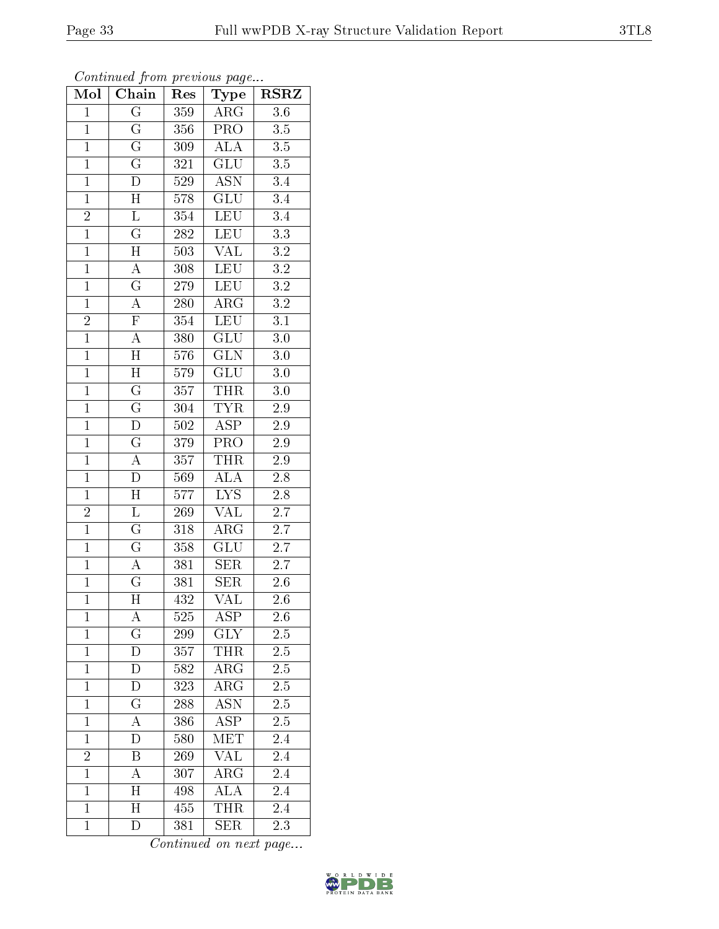| Mol            | Chain                   | Res              | Type                      | <b>RSRZ</b>      |
|----------------|-------------------------|------------------|---------------------------|------------------|
| $\mathbf 1$    | $\overline{\mathrm{G}}$ | 359              | $\overline{\rm{ARG}}$     | 3.6              |
| $\mathbf{1}$   | $\overline{\mathrm{G}}$ | 356              | PRO                       | $3.5\,$          |
| $\overline{1}$ | $\overline{\mathrm{G}}$ | 309              | $\overline{\rm ALA}$      | $3.5\,$          |
| $\overline{1}$ | $\overline{\mathrm{G}}$ | 321              | $\overline{\text{GLU}}$   | $\overline{3.5}$ |
| $\overline{1}$ | $\overline{\rm D}$      | $529\,$          | $\overline{\mathrm{ASN}}$ | $\overline{3.4}$ |
| $\mathbf{1}$   | $\overline{\rm H}$      | 578              | <b>GLU</b>                | 3.4              |
| $\overline{2}$ | $\mathbf L$             | $\overline{354}$ | LEU                       | 3.4              |
| $\overline{1}$ | $\overline{\mathrm{G}}$ | <b>282</b>       | $\overline{\text{LEU}}$   | $\overline{3.3}$ |
| $\overline{1}$ | $\overline{\rm H}$      | 503              | $\overline{\text{VAL}}$   | $3.2\,$          |
| $\overline{1}$ | $\overline{A}$          | 308              | $\overline{\text{LEU}}$   | $\overline{3.2}$ |
| $\mathbf{1}$   | $\overline{G}$          | 279              | LEU                       | $3.2\,$          |
| $\overline{1}$ | $\overline{A}$          | <b>280</b>       | $\overline{\rm{ARG}}$     | $\overline{3.2}$ |
| $\overline{2}$ | $\overline{F}$          | 354              | LEU                       | 3.1              |
| $\overline{1}$ | $\overline{A}$          | 380              | $\overline{\text{GLU}}$   | 3.0              |
| $\overline{1}$ | $\overline{H}$          | 576              | $\overline{\text{GLN}}$   | $3.0\,$          |
| $\overline{1}$ | $\overline{H}$          | $579\,$          | $\overline{\text{GLU}}$   | 3.0              |
| $\overline{1}$ | $\overline{\mathrm{G}}$ | $\overline{357}$ | <b>THR</b>                | $\overline{3.0}$ |
| $\overline{1}$ | $\overline{\mathrm{G}}$ | 304              | <b>TYR</b>                | $2.9\,$          |
| $\overline{1}$ | $\overline{\rm D}$      | $502\,$          | $\overline{\text{ASP}}$   | $2.9\,$          |
| $\overline{1}$ | $\overline{\mathrm{G}}$ | 379              | PRO                       | $\overline{2.9}$ |
| $\overline{1}$ | $\overline{A}$          | 357              | THR                       | $2.9\,$          |
| $\overline{1}$ | $\overline{D}$          | 569              | $\overline{\rm ALA}$      | $\overline{2.8}$ |
| $\overline{1}$ | $\overline{\rm H}$      | 577              | $\overline{\text{LYS}}$   | $2.8\,$          |
| $\overline{2}$ | $\overline{\mathrm{L}}$ | $\overline{269}$ | $\overline{\text{VAL}}$   | $\overline{2.7}$ |
| $\overline{1}$ | $\overline{\mathrm{G}}$ | 318              | $\bar{\rm{ARG}}$          | $\overline{2.7}$ |
| $\mathbf{1}$   | $\overline{G}$          | 358              | GLU                       | $\overline{2.7}$ |
| $\overline{1}$ | $\overline{A}$          | $\overline{3}81$ | SER                       | $\overline{2.7}$ |
| $\mathbf{1}$   | $\overline{\mathrm{G}}$ | $\overline{381}$ | <b>SER</b>                | $2.6\,$          |
| $\overline{1}$ | $\overline{\text{H}}$   | 432              | $\overline{\text{VAL}}$   | $\overline{2.6}$ |
| 1              | A                       | 525              | $\operatorname{ASP}$      | $^{2.6}$         |
| $\mathbf{1}$   | $\mathbf G$             | 299              | <b>GLY</b>                | 2.5              |
| $\mathbf{1}$   | D                       | 357              | THR                       | 2.5              |
| $\mathbf{1}$   | $\overline{\rm D}$      | 582              | $AR\overline{G}$          | 2.5              |
| $\mathbf 1$    | $\overline{\rm D}$      | 323              | $\overline{\rm{ARG}}$     | $2.5\,$          |
| $\mathbf{1}$   | $\mathbf G$             | 288              | ASN                       | 2.5              |
| $\mathbf{1}$   | A                       | 386              | $\overline{\text{ASP}}$   | 2.5              |
| $\mathbf{1}$   | D                       | 580              | MET                       | 2.4              |
| $\overline{2}$ | B                       | 269              | VAL                       | 2.4              |
| $\overline{1}$ | А                       | 307              | $\overline{\rm{ARG}}$     | 2.4              |
| $\mathbf{1}$   | Η                       | 498              | $\overline{\rm ALA}$      | 2.4              |
| $\overline{1}$ | $\overline{\rm H}$      | 455              | <b>THR</b>                | 2.4              |
| $\mathbf{1}$   | D                       | 381              | <b>SER</b>                | 2.3              |

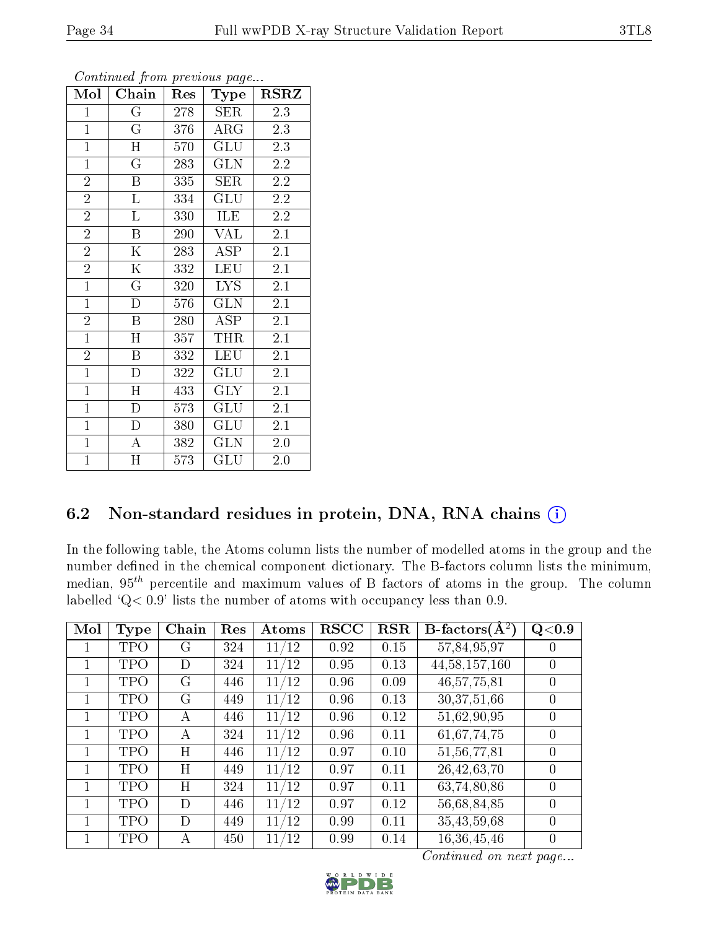| Mol            | Chain                   | Res | Type                    | <b>RSRZ</b>      |
|----------------|-------------------------|-----|-------------------------|------------------|
| $\mathbf{1}$   | $\rm G$                 | 278 | <b>SER</b>              | 2.3              |
| $\overline{1}$ | $\overline{G}$          | 376 | $\rm{ARG}$              | 2.3              |
| $\overline{1}$ | $\overline{H}$          | 570 | GLU                     | 2.3              |
| $\overline{1}$ | $\overline{G}$          | 283 | <b>GLN</b>              | 2.2              |
| $\overline{2}$ | B                       | 335 | SER                     | $2.\overline{2}$ |
| $\overline{2}$ | $\Gamma$                | 334 | GLU                     | $2.2\,$          |
| $\overline{2}$ | $\Gamma$                | 330 | <b>ILE</b>              | 2.2              |
| $\overline{2}$ | B                       | 290 | <b>VAL</b>              | 2.1              |
| $\overline{2}$ | Κ                       | 283 | <b>ASP</b>              | 2.1              |
| $\overline{2}$ | $\overline{\mathrm{K}}$ | 332 | LEU                     | $\overline{2.1}$ |
| $\overline{1}$ | $\rm G$                 | 320 | LYS                     | 2.1              |
| $\mathbf{1}$   | D                       | 576 | <b>GLN</b>              | $2.\overline{1}$ |
| $\overline{2}$ | B                       | 280 | <b>ASP</b>              | 2.1              |
| $\mathbf{1}$   | H                       | 357 | <b>THR</b>              | 2.1              |
| $\overline{2}$ | B                       | 332 | <b>LEU</b>              | 2.1              |
| $\overline{1}$ | $\mathbf D$             | 322 | GLU                     | 2.1              |
| $\mathbf{1}$   | H                       | 433 | <b>GLY</b>              | 2.1              |
| $\mathbf{1}$   | $\mathbf D$             | 573 | GLU                     | 2.1              |
| $\overline{1}$ | ${\rm D}$               | 380 | GLU                     | 2.1              |
| $\overline{1}$ | $\overline{A}$          | 382 | $\overline{\text{GLN}}$ | 2.0              |
| $\mathbf{1}$   | H                       | 573 | GLU                     | 2.0              |

#### 6.2 Non-standard residues in protein, DNA, RNA chains (i)

In the following table, the Atoms column lists the number of modelled atoms in the group and the number defined in the chemical component dictionary. The B-factors column lists the minimum, median,  $95<sup>th</sup>$  percentile and maximum values of B factors of atoms in the group. The column labelled  $Q < 0.9$ ' lists the number of atoms with occupancy less than 0.9.

| Mol | <b>Type</b> | Chain | Res | Atoms               | <b>RSCC</b> | $_{\rm RSR}$ | $B\text{-factors}(\overline{A^2})$ | Q <sub>0.9</sub> |
|-----|-------------|-------|-----|---------------------|-------------|--------------|------------------------------------|------------------|
|     | TPO         | G     | 324 | /12<br>11           | 0.92        | 0.15         | 57,84,95,97                        |                  |
|     | TPO         | D     | 324 | /12<br>11           | 0.95        | 0.13         | 44, 58, 157, 160                   | $\theta$         |
|     | TPO         | G     | 446 | /12<br>11           | 0.96        | 0.09         | 46, 57, 75, 81                     | $\Omega$         |
|     | TPO         | G     | 449 | 11/12               | 0.96        | 0.13         | 30,37,51,66                        | $\theta$         |
|     | TPO         | A     | 446 | /12<br>11           | 0.96        | 0.12         | 51,62,90,95                        | $\theta$         |
|     | TPO         | А     | 324 | $/12\,$<br>11       | 0.96        | 0.11         | 61,67,74,75                        | $\theta$         |
|     | TPO         | H     | 446 | /12<br>11           | 0.97        | 0.10         | 51,56,77,81                        | $\theta$         |
|     | TPO         | H     | 449 | /12<br>11           | 0.97        | 0.11         | 26, 42, 63, 70                     | $\theta$         |
|     | TPO         | H     | 324 | /12<br>11           | 0.97        | 0.11         | 63,74,80,86                        | $\Omega$         |
|     | TPO         | D     | 446 | 11/12               | 0.97        | 0.12         | 56,68,84,85                        | $\Omega$         |
|     | TPO         | D     | 449 | /12<br>11           | 0.99        | 0.11         | 35,43,59,68                        | $\theta$         |
|     | TPO         | A     | 450 | 11<br>$^{\prime}12$ | 0.99        | 0.14         | 16,36,45,46                        | $\theta$         |